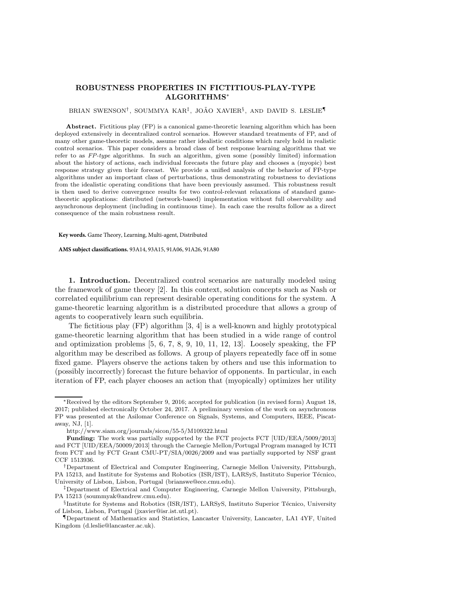# **ROBUSTNESS PROPERTIES IN FICTITIOUS-PLAY-TYPE ALGORITHMS**∗

## BRIAN SWENSON<sup>†</sup>, SOUMMYA KAR<sup>‡</sup>, JOÃO XAVIER<sup>§</sup>, AND DAVID S. LESLIE<sup>¶</sup>

**Abstract.** Fictitious play (FP) is a canonical game-theoretic learning algorithm which has been deployed extensively in decentralized control scenarios. However standard treatments of FP, and of many other game-theoretic models, assume rather idealistic conditions which rarely hold in realistic control scenarios. This paper considers a broad class of best response learning algorithms that we refer to as FP-type algorithms. In such an algorithm, given some (possibly limited) information about the history of actions, each individual forecasts the future play and chooses a (myopic) best response strategy given their forecast. We provide a unified analysis of the behavior of FP-type algorithms under an important class of perturbations, thus demonstrating robustness to deviations from the idealistic operating conditions that have been previously assumed. This robustness result is then used to derive convergence results for two control-relevant relaxations of standard gametheoretic applications: distributed (network-based) implementation without full observability and asynchronous deployment (including in continuous time). In each case the results follow as a direct consequence of the main robustness result.

**Key words.** Game Theory, Learning, Multi-agent, Distributed

**AMS subject classifications.** 93A14, 93A15, 91A06, 91A26, 91A80

**1. Introduction.** Decentralized control scenarios are naturally modeled using the framework of game theory [\[2\]](#page-21-0). In this context, solution concepts such as Nash or correlated equilibrium can represent desirable operating conditions for the system. A game-theoretic learning algorithm is a distributed procedure that allows a group of agents to cooperatively learn such equilibria.

The fictitious play (FP) algorithm [\[3,](#page-21-1) [4\]](#page-21-2) is a well-known and highly prototypical game-theoretic learning algorithm that has been studied in a wide range of control and optimization problems [\[5,](#page-21-3) [6,](#page-21-4) [7,](#page-21-5) [8,](#page-21-6) [9,](#page-21-7) [10,](#page-22-0) [11,](#page-22-1) [12,](#page-22-2) [13\]](#page-22-3). Loosely speaking, the FP algorithm may be described as follows. A group of players repeatedly face off in some fixed game. Players observe the actions taken by others and use this information to (possibly incorrectly) forecast the future behavior of opponents. In particular, in each iteration of FP, each player chooses an action that (myopically) optimizes her utility

<sup>∗</sup>Received by the editors September 9, 2016; accepted for publication (in revised form) August 18, 2017; published electronically October 24, 2017. A preliminary version of the work on asynchronous FP was presented at the Asilomar Conference on Signals, Systems, and Computers, IEEE, Piscataway, NJ, [\[1\]](#page-21-8).

<http://www.siam.org/journals/sicon/55-5/M109322.html>

**Funding:** The work was partially supported by the FCT projects FCT [UID/EEA/5009/2013] and FCT [UID/EEA/50009/2013] through the Carnegie Mellon/Portugal Program managed by ICTI from FCT and by FCT Grant CMU-PT/SIA/0026/2009 and was partially supported by NSF grant CCF 1513936.

<sup>†</sup>Department of Electrical and Computer Engineering, Carnegie Mellon University, Pittsburgh, PA 15213, and Institute for Systems and Robotics (ISR/IST), LARSyS, Instituto Superior Técnico, University of Lisbon, Lisbon, Portugal [\(brianswe@ece.cmu.edu\)](mailto:brianswe@ece.cmu.edu).

<sup>‡</sup>Department of Electrical and Computer Engineering, Carnegie Mellon University, Pittsburgh, PA 15213 [\(soummyak@andrew.cmu.edu\)](mailto:soummyak@andrew.cmu.edu).

 $\S$ Institute for Systems and Robotics (ISR/IST), LARSyS, Instituto Superior Técnico, University of Lisbon, Lisbon, Portugal [\(jxavier@isr.ist.utl.pt\)](mailto:jxavier@isr.ist.utl.pt).

<sup>¶</sup>Department of Mathematics and Statistics, Lancaster University, Lancaster, LA1 4YF, United Kingdom [\(d.leslie@lancaster.ac.uk\)](mailto:d.leslie@lancaster.ac.uk).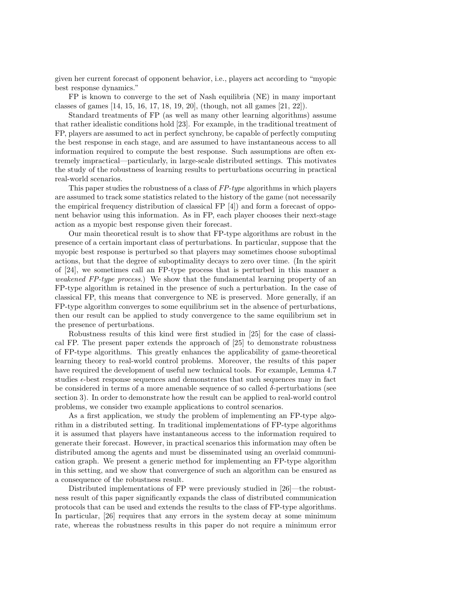given her current forecast of opponent behavior, i.e., players act according to "myopic best response dynamics."

FP is known to converge to the set of Nash equilibria (NE) in many important classes of games [\[14,](#page-22-4) [15,](#page-22-5) [16,](#page-22-6) [17,](#page-22-7) [18,](#page-22-8) [19,](#page-22-9) [20\]](#page-22-10), (though, not all games [\[21,](#page-22-11) [22\]](#page-22-12)).

Standard treatments of FP (as well as many other learning algorithms) assume that rather idealistic conditions hold [\[23\]](#page-22-13). For example, in the traditional treatment of FP, players are assumed to act in perfect synchrony, be capable of perfectly computing the best response in each stage, and are assumed to have instantaneous access to all information required to compute the best response. Such assumptions are often extremely impractical—particularly, in large-scale distributed settings. This motivates the study of the robustness of learning results to perturbations occurring in practical real-world scenarios.

This paper studies the robustness of a class of *FP-type* algorithms in which players are assumed to track some statistics related to the history of the game (not necessarily the empirical frequency distribution of classical FP [\[4\]](#page-21-2)) and form a forecast of opponent behavior using this information. As in FP, each player chooses their next-stage action as a myopic best response given their forecast.

Our main theoretical result is to show that FP-type algorithms are robust in the presence of a certain important class of perturbations. In particular, suppose that the myopic best response is perturbed so that players may sometimes choose suboptimal actions, but that the degree of suboptimality decays to zero over time. (In the spirit of [\[24\]](#page-22-14), we sometimes call an FP-type process that is perturbed in this manner a *weakened FP-type process*.) We show that the fundamental learning property of an FP-type algorithm is retained in the presence of such a perturbation. In the case of classical FP, this means that convergence to NE is preserved. More generally, if an FP-type algorithm converges to some equilibrium set in the absence of perturbations, then our result can be applied to study convergence to the same equilibrium set in the presence of perturbations.

Robustness results of this kind were first studied in [\[25\]](#page-22-15) for the case of classical FP. The present paper extends the approach of [\[25\]](#page-22-15) to demonstrate robustness of FP-type algorithms. This greatly enhances the applicability of game-theoretical learning theory to real-world control problems. Moreover, the results of this paper have required the development of useful new technical tools. For example, Lemma [4.7](#page-9-0) studies  $\epsilon$ -best response sequences and demonstrates that such sequences may in fact be considered in terms of a more amenable sequence of so called  $\delta$ -perturbations (see section [3\)](#page-3-0). In order to demonstrate how the result can be applied to real-world control problems, we consider two example applications to control scenarios.

As a first application, we study the problem of implementing an FP-type algorithm in a distributed setting. In traditional implementations of FP-type algorithms it is assumed that players have instantaneous access to the information required to generate their forecast. However, in practical scenarios this information may often be distributed among the agents and must be disseminated using an overlaid communication graph. We present a generic method for implementing an FP-type algorithm in this setting, and we show that convergence of such an algorithm can be ensured as a consequence of the robustness result.

Distributed implementations of FP were previously studied in [\[26\]](#page-22-16)—the robustness result of this paper significantly expands the class of distributed communication protocols that can be used and extends the results to the class of FP-type algorithms. In particular, [\[26\]](#page-22-16) requires that any errors in the system decay at some minimum rate, whereas the robustness results in this paper do not require a minimum error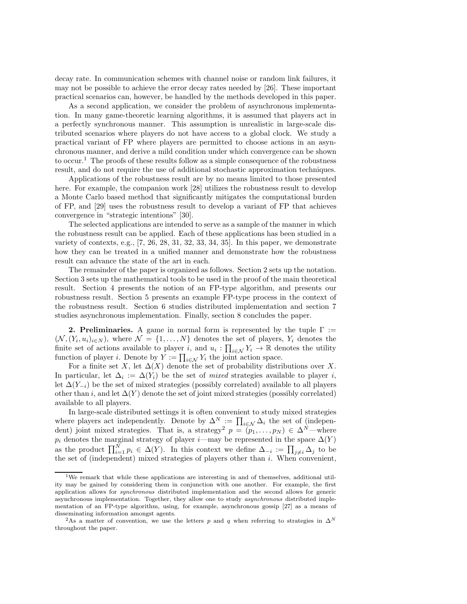decay rate. In communication schemes with channel noise or random link failures, it may not be possible to achieve the error decay rates needed by [\[26\]](#page-22-16). These important practical scenarios can, however, be handled by the methods developed in this paper.

As a second application, we consider the problem of asynchronous implementation. In many game-theoretic learning algorithms, it is assumed that players act in a perfectly synchronous manner. This assumption is unrealistic in large-scale distributed scenarios where players do not have access to a global clock. We study a practical variant of FP where players are permitted to choose actions in an asynchronous manner, and derive a mild condition under which convergence can be shown to occur.<sup>1</sup> The proofs of these results follow as a simple consequence of the robustness result, and do not require the use of additional stochastic approximation techniques.

Applications of the robustness result are by no means limited to those presented here. For example, the companion work [\[28\]](#page-22-17) utilizes the robustness result to develop a Monte Carlo based method that significantly mitigates the computational burden of FP, and [\[29\]](#page-22-18) uses the robustness result to develop a variant of FP that achieves convergence in "strategic intentions" [\[30\]](#page-22-19).

The selected applications are intended to serve as a sample of the manner in which the robustness result can be applied. Each of these applications has been studied in a variety of contexts, e.g.,  $[7, 26, 28, 31, 32, 33, 34, 35]$  $[7, 26, 28, 31, 32, 33, 34, 35]$  $[7, 26, 28, 31, 32, 33, 34, 35]$  $[7, 26, 28, 31, 32, 33, 34, 35]$  $[7, 26, 28, 31, 32, 33, 34, 35]$  $[7, 26, 28, 31, 32, 33, 34, 35]$  $[7, 26, 28, 31, 32, 33, 34, 35]$  $[7, 26, 28, 31, 32, 33, 34, 35]$ . In this paper, we demonstrate how they can be treated in a unified manner and demonstrate how the robustness result can advance the state of the art in each.

The remainder of the paper is organized as follows. Section [2](#page-2-0) sets up the notation. Section [3](#page-3-0) sets up the mathematical tools to be used in the proof of the main theoretical result. Section [4](#page-5-0) presents the notion of an FP-type algorithm, and presents our robustness result. Section [5](#page-12-0) presents an example FP-type process in the context of the robustness result. Section [6](#page-13-0) studies distributed implementation and section [7](#page-14-0) studies asynchronous implementation. Finally, section [8](#page-20-0) concludes the paper.

<span id="page-2-0"></span>**2. Preliminaries.** A game in normal form is represented by the tuple  $\Gamma$  :=  $(\mathcal{N}, (Y_i, u_i)_{i \in N})$ , where  $\mathcal{N} = \{1, ..., N\}$  denotes the set of players,  $Y_i$  denotes the finite set of actions available to player i, and  $u_i : \prod_{i \in \mathcal{N}} Y_i \to \mathbb{R}$  denotes the utility function of player *i*. Denote by  $Y := \prod_{i \in \mathcal{N}} Y_i$  the joint action space.

For a finite set X, let  $\Delta(X)$  denote the set of probability distributions over X. In particular, let  $\Delta_i := \Delta(Y_i)$  be the set of *mixed* strategies available to player i, let  $\Delta(Y_{-i})$  be the set of mixed strategies (possibly correlated) available to all players other than i, and let  $\Delta(Y)$  denote the set of joint mixed strategies (possibly correlated) available to all players.

In large-scale distributed settings it is often convenient to study mixed strategies where players act independently. Denote by  $\Delta^N := \prod_{i \in \mathcal{N}} \Delta_i$  the set of (independently) dent) joint mixed strategies. That is, a strategy<sup>2</sup>  $p = (p_1, \ldots, p_N) \in \Delta^N$ —where  $p_i$  denotes the marginal strategy of player i—may be represented in the space  $\Delta(Y)$ as the product  $\prod_{i=1}^{N} p_i \in \Delta(Y)$ . In this context we define  $\Delta_{-i} := \prod_{j \neq i} \Delta_j$  to be the set of (independent) mixed strategies of players other than *i*. When convenient,

<sup>&</sup>lt;sup>1</sup>We remark that while these applications are interesting in and of themselves, additional utility may be gained by considering them in conjunction with one another. For example, the first application allows for synchronous distributed implementation and the second allows for generic asynchronous implementation. Together, they allow one to study *asynchronous* distributed implementation of an FP-type algorithm, using, for example, asynchronous gossip [\[27\]](#page-22-25) as a means of disseminating information amongst agents.<br><sup>2</sup>As a matter of convention, we use the letters p and q when referring to strategies in  $\Delta^N$ 

throughout the paper.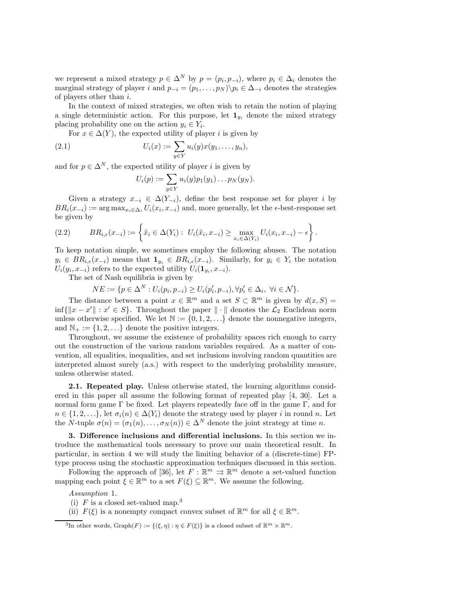we represent a mixed strategy  $p \in \Delta^N$  by  $p = (p_i, p_{-i})$ , where  $p_i \in \Delta_i$  denotes the marginal strategy of player i and  $p_{-i} = (p_1, \ldots, p_N) \backslash p_i \in \Delta_{-i}$  denotes the strategies of players other than i.

In the context of mixed strategies, we often wish to retain the notion of playing a single deterministic action. For this purpose, let  $\mathbf{1}_{y_i}$  denote the mixed strategy placing probability one on the action  $y_i \in Y_i$ .

For  $x \in \Delta(Y)$ , the expected utility of player *i* is given by

(2.1) 
$$
U_i(x) := \sum_{y \in Y} u_i(y) x(y_1, \dots, y_n),
$$

and for  $p \in \Delta^N$ , the expected utility of player *i* is given by

$$
U_i(p) := \sum_{y \in Y} u_i(y)p_1(y_1) \dots p_N(y_N).
$$

Given a strategy  $x_{-i} \in \Delta(Y_{-i})$ , define the best response set for player i by  $BR_i(x_{-i}) := \arg \max_{x_i \in \Delta_i} U_i(x_i, x_{-i})$  and, more generally, let the  $\epsilon$ -best-response set be given by

<span id="page-3-3"></span>(2.2) 
$$
BR_{i,\epsilon}(x_{-i}) := \left\{ \tilde{x}_i \in \Delta(Y_i) : U_i(\tilde{x}_i, x_{-i}) \ge \max_{x_i \in \Delta(Y_i)} U_i(x_i, x_{-i}) - \epsilon \right\}.
$$

To keep notation simple, we sometimes employ the following abuses. The notation  $y_i \in BR_{i,\epsilon}(x_{-i})$  means that  $\mathbf{1}_{y_i} \in BR_{i,\epsilon}(x_{-i})$ . Similarly, for  $y_i \in Y_i$  the notation  $U_i(y_i, x_{-i})$  refers to the expected utility  $U_i(\mathbf{1}_{y_i}, x_{-i})$ .

The set of Nash equilibria is given by

$$
NE := \{ p \in \Delta^N : U_i(p_i, p_{-i}) \ge U_i(p'_i, p_{-i}), \forall p'_i \in \Delta_i, \ \forall i \in \mathcal{N} \}.
$$

The distance between a point  $x \in \mathbb{R}^m$  and a set  $S \subset \mathbb{R}^m$  is given by  $d(x, S) =$  $\inf\{\|x-x'\| : x' \in S\}.$  Throughout the paper  $\|\cdot\|$  denotes the  $\mathcal{L}_2$  Euclidean norm unless otherwise specified. We let  $\mathbb{N} := \{0, 1, 2, \ldots\}$  denote the nonnegative integers, and  $\mathbb{N}_+ := \{1, 2, \ldots\}$  denote the positive integers.

Throughout, we assume the existence of probability spaces rich enough to carry out the construction of the various random variables required. As a matter of convention, all equalities, inequalities, and set inclusions involving random quantities are interpreted almost surely (a.s.) with respect to the underlying probability measure, unless otherwise stated.

<span id="page-3-2"></span>**2.1. Repeated play.** Unless otherwise stated, the learning algorithms considered in this paper all assume the following format of repeated play [\[4,](#page-21-2) [30\]](#page-22-19). Let a normal form game  $\Gamma$  be fixed. Let players repeatedly face off in the game  $\Gamma$ , and for  $n \in \{1, 2, \ldots\}$ , let  $\sigma_i(n) \in \Delta(Y_i)$  denote the strategy used by player i in round n. Let the N-tuple  $\sigma(n)=(\sigma_1(n),\ldots,\sigma_N(n))\in\Delta^N$  denote the joint strategy at time n.

<span id="page-3-0"></span>**3. Difference inclusions and differential inclusions.** In this section we introduce the mathematical tools necessary to prove our main theoretical result. In particular, in section [4](#page-5-0) we will study the limiting behavior of a (discrete-time) FPtype process using the stochastic approximation techniques discussed in this section.

<span id="page-3-1"></span>Following the approach of [\[36\]](#page-22-26), let  $F : \mathbb{R}^m \rightrightarrows \mathbb{R}^m$  denote a set-valued function mapping each point  $\xi \in \mathbb{R}^m$  to a set  $F(\xi) \subseteq \mathbb{R}^m$ . We assume the following.

*Assumption* 1.

- (i)  $F$  is a closed set-valued map.<sup>3</sup>
- (ii)  $F(\xi)$  is a nonempty compact convex subset of  $\mathbb{R}^m$  for all  $\xi \in \mathbb{R}^m$ .

<sup>3</sup>In other words,  $Graph(F) := \{(\xi, \eta) : \eta \in F(\xi)\}\$ is a closed subset of  $\mathbb{R}^m \times \mathbb{R}^m$ .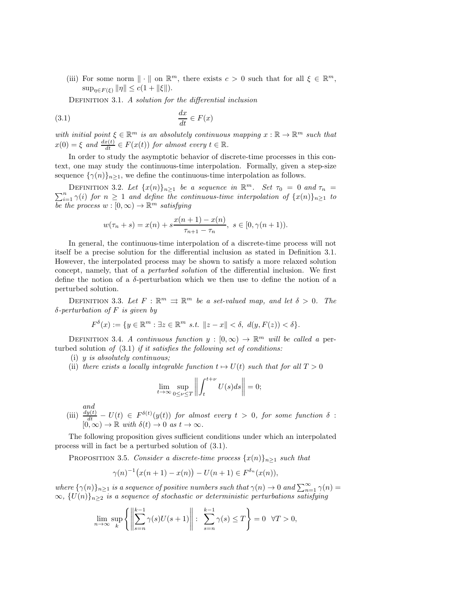(iii) For some norm  $\|\cdot\|$  on  $\mathbb{R}^m$ , there exists  $c > 0$  such that for all  $\xi \in \mathbb{R}^m$ ,  $\sup_{\eta \in F(\xi)} \|\eta\| \leq c(1 + \|\xi\|).$ 

<span id="page-4-1"></span><span id="page-4-0"></span>Definition 3.1. *A solution for the differential inclusion*

$$
\frac{dx}{dt} \in F(x)
$$

*with initial point*  $\xi \in \mathbb{R}^m$  *is an absolutely continuous mapping*  $x : \mathbb{R} \to \mathbb{R}^m$  *such that*  $x(0) = \xi$  and  $\frac{dx(t)}{dt} \in F(x(t))$  for almost every  $t \in \mathbb{R}$ .

In order to study the asymptotic behavior of discrete-time processes in this context, one may study the continuous-time interpolation. Formally, given a step-size sequence  $\{\gamma(n)\}_{n\geq 1}$ , we define the continuous-time interpolation as follows.

DEFINITION 3.2. Let  $\{x(n)\}_{n\geq 1}$  be a sequence in  $\mathbb{R}^m$ . Set  $\tau_0 = 0$  and  $\tau_n = \sum_{i=1}^n \gamma(i)$  for  $n \geq 1$  and define the continuous-time interpolation of  $\{x(n)\}_{n>1}$  to  $\sum_{i=1}^{n} \gamma(i)$  *for*  $n \geq 1$  *and define the continuous-time interpolation of*  $\{x(n)\}_{n \geq 1}$  *to*  $the$  *nocess*  $w : [0, \infty) \to \mathbb{R}^m$  *satisfying be the process*  $w : [0, \infty) \to \mathbb{R}^m$  *satisfying* 

$$
w(\tau_n + s) = x(n) + s \frac{x(n+1) - x(n)}{\tau_{n+1} - \tau_n}, \ s \in [0, \gamma(n+1)).
$$

In general, the continuous-time interpolation of a discrete-time process will not itself be a precise solution for the differential inclusion as stated in Definition [3.1.](#page-4-0) However, the interpolated process may be shown to satisfy a more relaxed solution concept, namely, that of a *perturbed solution* of the differential inclusion. We first define the notion of a  $\delta$ -perturbation which we then use to define the notion of a perturbed solution.

DEFINITION 3.3. Let  $F : \mathbb{R}^m \implies \mathbb{R}^m$  be a set-valued map, and let  $\delta > 0$ . The δ*-perturbation of* F *is given by*

$$
F^{\delta}(x) := \{ y \in \mathbb{R}^m : \exists z \in \mathbb{R}^m \text{ s.t. } ||z - x|| < \delta, \ d(y, F(z)) < \delta \}.
$$

DEFINITION 3.4. *A continuous function*  $y : [0, \infty) \to \mathbb{R}^m$  *will be called a* perturbed solution *of* [\(3.1\)](#page-4-1) *if it satisfies the following set of conditions:*

- (i) y *is absolutely continuous;*
- (ii) *there exists a locally integrable function*  $t \mapsto U(t)$  *such that for all*  $T > 0$

$$
\lim_{t \to \infty} \sup_{0 \le \nu \le T} \left\| \int_t^{t+\nu} U(s) ds \right\| = 0;
$$

(iii)  $\frac{dy(t)}{dt} - U(t) \in F^{\delta(t)}(y(t))$  *for almost every*  $t > 0$ *, for some function*  $\delta$ :  $[0, \infty) \to \mathbb{R}$  *with*  $\delta(t) \to 0$  *as*  $t \to \infty$ *.* 

<span id="page-4-2"></span>The following proposition gives sufficient conditions under which an interpolated process will in fact be a perturbed solution of [\(3.1\)](#page-4-1).

PROPOSITION 3.5. *Consider a discrete-time process*  $\{x(n)\}_{n\geq 1}$  *such that* 

$$
\gamma(n)^{-1}(x(n + 1) - x(n)) - U(n + 1) \in F^{\delta_n}(x(n)),
$$

*where*  $\{\gamma(n)\}_{n\geq 1}$  *is a sequence of positive numbers such that*  $\gamma(n) \to 0$  *and*  $\sum_{n=1}^{\infty} \gamma(n) = \infty$   $\frac{\prod(n)1}{n}$ ,  $\gamma(n)$  is a sequence of stochastic or deterministic perturbations satisfying  $\infty$ *,*  ${U(n)}_{n>2}$  *is a sequence of stochastic or deterministic perturbations satisfying* 

$$
\lim_{n \to \infty} \sup_{k} \left\{ \left\| \sum_{s=n}^{k-1} \gamma(s) U(s+1) \right\| : \left\| \sum_{s=n}^{k-1} \gamma(s) \le T \right\} = 0 \quad \forall T > 0,
$$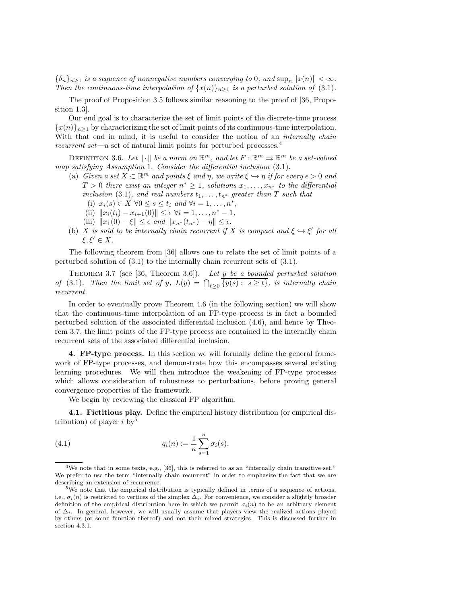${\delta_n}_{n\geq 1}$  *is a sequence of nonnegative numbers converging to* 0*, and*  $\sup_n ||x(n)|| < \infty$ *. Then the continuous-time interpolation of*  $\{x(n)\}_{n\geq 1}$  *is a perturbed solution of* [\(3.1\)](#page-4-1)*.* 

The proof of Proposition [3.5](#page-4-2) follows similar reasoning to the proof of [\[36,](#page-22-26) Proposition 1.3].

Our end goal is to characterize the set of limit points of the discrete-time process  ${x(n)}_{n>1}$  by characterizing the set of limit points of its continuous-time interpolation. With that end in mind, it is useful to consider the notion of an *internally chain recurrent set*—a set of natural limit points for perturbed processes.4

DEFINITION 3.6. Let  $\|\cdot\|$  be a norm on  $\mathbb{R}^m$ , and let  $F : \mathbb{R}^m \rightrightarrows \mathbb{R}^m$  be a set-valued *map satisfying Assumption* [1.](#page-3-1) *Consider the differential inclusion* [\(3.1\)](#page-4-1)*.*

- (a)  $Given \ a \ set \ X \subset \mathbb{R}^m \ and \ points \ \xi \ and \ \eta, \ we \ write \ \xi \hookrightarrow \eta \ if \ for \ every \ \epsilon > 0 \ and$  $T > 0$  there exist an integer  $n^* \geq 1$ , solutions  $x_1, \ldots, x_{n^*}$  to the differential *inclusion* [\(3.1\)](#page-4-1), and real numbers  $t_1, \ldots, t_{n^*}$  greater than T *such that* 
	- (i)  $x_i(s) \in X \ \forall 0 \leq s \leq t_i \ and \ \forall i = 1, \ldots, n^*$ ,
	- (ii)  $||x_i(t_i) x_{i+1}(0)|| \le \epsilon \ \forall i = 1, \ldots, n^* 1,$ <br>  $\vdots$   $||x_i(t_i) x_{i+1}(0)|| \le \epsilon \ \forall i = 1, \ldots, n^* 1,$
	- (iii)  $||x_1(0) \xi|| \leq \epsilon$  and  $||x_{n^*}(t_{n^*}) \eta|| \leq \epsilon$ .<br>Y is said to be intervally above *movement* if
- (b) X *is said to be internally chain recurrent if* X *is compact and*  $\xi \hookrightarrow \xi'$  for all  $\xi, \xi' \in X$ .

<span id="page-5-1"></span>The following theorem from [\[36\]](#page-22-26) allows one to relate the set of limit points of a perturbed solution of  $(3.1)$  to the internally chain recurrent sets of  $(3.1)$ .

Theorem 3.7 (see [\[36,](#page-22-26) Theorem 3.6]). *Let* y *be a bounded perturbed solution of* [\(3.1\)](#page-4-1)*. Then the limit set of y,*  $L(y) = \bigcap_{t \geq 0} \{y(s) : s \geq t\}$ *, is internally chain* recurrent *recurrent.*

In order to eventually prove Theorem [4.6](#page-9-1) (in the following section) we will show that the continuous-time interpolation of an FP-type process is in fact a bounded perturbed solution of the associated differential inclusion [\(4.6\)](#page-9-2), and hence by Theorem [3.7,](#page-5-1) the limit points of the FP-type process are contained in the internally chain recurrent sets of the associated differential inclusion.

<span id="page-5-0"></span>**4. FP-type process.** In this section we will formally define the general framework of FP-type processes, and demonstrate how this encompasses several existing learning procedures. We will then introduce the weakening of FP-type processes which allows consideration of robustness to perturbations, before proving general convergence properties of the framework.

<span id="page-5-2"></span>We begin by reviewing the classical FP algorithm.

<span id="page-5-3"></span>**4.1. Fictitious play.** Define the empirical history distribution (or empirical distribution) of player  $i$  by<sup>5</sup>

(4.1) 
$$
q_i(n) := \frac{1}{n} \sum_{s=1}^n \sigma_i(s),
$$

<sup>&</sup>lt;sup>4</sup>We note that in some texts, e.g., [\[36\]](#page-22-26), this is referred to as an "internally chain transitive set." We prefer to use the term "internally chain recurrent" in order to emphasize the fact that we are describing an extension of recurrence.<br><sup>5</sup>We note that the empirical distribution is typically defined in terms of a sequence of actions,

i.e.,  $\sigma_i(n)$  is restricted to vertices of the simplex  $\Delta_i$ . For convenience, we consider a slightly broader definition of the empirical distribution here in which we permit  $\sigma_i(n)$  to be an arbitrary element of  $\Delta_i$ . In general, however, we will usually assume that players view the realized actions played by others (or some function thereof) and not their mixed strategies. This is discussed further in section [4.3.1.](#page-8-0)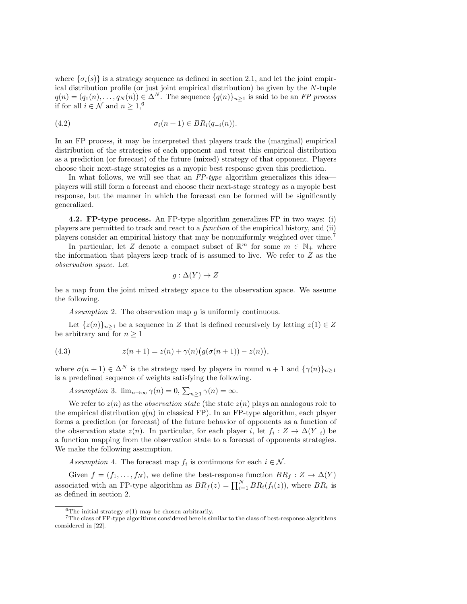where  $\{\sigma_i(s)\}\$ is a strategy sequence as defined in section [2.1,](#page-3-2) and let the joint empirical distribution profile (or just joint empirical distribution) be given by the N-tuple  $q(n)=(q_1(n),\ldots,q_N(n))\in\Delta^N$ . The sequence  $\{q(n)\}_{n\geq 1}$  is said to be an *FP process* if for all  $i \in \mathcal{N}$  and  $n \geq 1,^6$ 

<span id="page-6-3"></span>(4.2) 
$$
\sigma_i(n+1) \in BR_i(q_{-i}(n)).
$$

In an FP process, it may be interpreted that players track the (marginal) empirical distribution of the strategies of each opponent and treat this empirical distribution as a prediction (or forecast) of the future (mixed) strategy of that opponent. Players choose their next-stage strategies as a myopic best response given this prediction.

In what follows, we will see that an *FP-type* algorithm generalizes this idea players will still form a forecast and choose their next-stage strategy as a myopic best response, but the manner in which the forecast can be formed will be significantly generalized.

**4.2. FP-type process.** An FP-type algorithm generalizes FP in two ways: (i) players are permitted to track and react to a *function* of the empirical history, and (ii) players consider an empirical history that may be nonuniformly weighted over time.7

In particular, let Z denote a compact subset of  $\mathbb{R}^m$  for some  $m \in \mathbb{N}_+$  where the information that players keep track of is assumed to live. We refer to Z as the *observation space*. Let

$$
g: \Delta(Y) \to Z
$$

<span id="page-6-1"></span>be a map from the joint mixed strategy space to the observation space. We assume the following.

<span id="page-6-0"></span>*Assumption* 2. The observation map g is uniformly continuous.

Let  $\{z(n)\}_{n\geq 1}$  be a sequence in Z that is defined recursively by letting  $z(1) \in Z$ be arbitrary and for  $n \geq 1$ 

(4.3) 
$$
z(n+1) = z(n) + \gamma(n) \big( g(\sigma(n+1)) - z(n) \big),
$$

where  $\sigma(n+1) \in \Delta^N$  is the strategy used by players in round  $n+1$  and  $\{\gamma(n)\}_{n\geq 1}$ is a predefined sequence of weights satisfying the following.

*Assumption* 3.  $\lim_{n\to\infty} \gamma(n) = 0$ ,  $\sum_{n\geq 1} \gamma(n) = \infty$ .

We refer to  $z(n)$  as the *observation state* (the state  $z(n)$  plays an analogous role to the empirical distribution  $q(n)$  in classical FP). In an FP-type algorithm, each player forms a prediction (or forecast) of the future behavior of opponents as a function of the observation state  $z(n)$ . In particular, for each player i, let  $f_i : Z \to \Delta(Y_{-i})$  be a function mapping from the observation state to a forecast of opponents strategies. We make the following assumption.

<span id="page-6-2"></span>*Assumption* 4. The forecast map  $f_i$  is continuous for each  $i \in \mathcal{N}$ .

Given  $f = (f_1, \ldots, f_N)$ , we define the best-response function  $BR_f : Z \to \Delta(Y)$ associated with an FP-type algorithm as  $BR_f(z) = \prod_{i=1}^{N} BR_i(f_i(z))$ , where  $BR_i$  is as defined in section [2.](#page-2-0)

<sup>&</sup>lt;sup>6</sup>The initial strategy  $\sigma(1)$  may be chosen arbitrarily.<br><sup>7</sup>The class of FP-type algorithms considered here is similar to the class of best-response algorithms considered in [\[22\]](#page-22-12).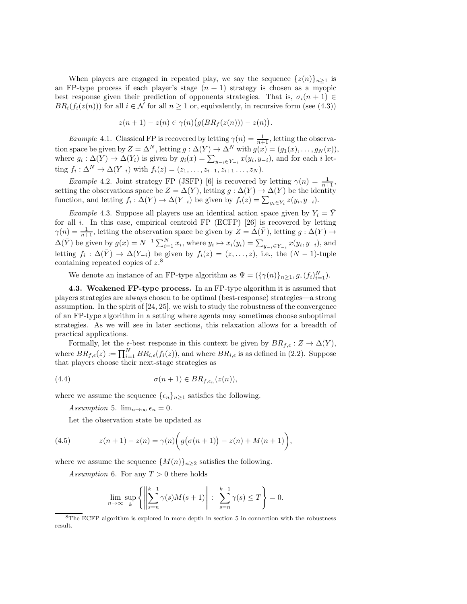When players are engaged in repeated play, we say the sequence  $\{z(n)\}_{n\geq 1}$  is an FP-type process if each player's stage  $(n + 1)$  strategy is chosen as a myopic best response given their prediction of opponents strategies. That is,  $\sigma_i(n+1) \in$  $BR_i(f_i(z(n)))$  for all  $i \in \mathcal{N}$  for all  $n \geq 1$  or, equivalently, in recursive form (see [\(4.3\)](#page-6-0))

$$
z(n+1) - z(n) \in \gamma(n) \big(g(BR_f(z(n))) - z(n)\big)
$$

.

<span id="page-7-4"></span>*Example* 4.1. Classical FP is recovered by letting  $\gamma(n) = \frac{1}{n+1}$ , letting the observa-<br>gross beginner by  $Z = \Delta N$ , letting  $\alpha : \Delta(Y) \to \Delta N$  with  $\alpha(n) = (\alpha \cdot (n) - \alpha \cdot (n))$ tion space be given by  $Z = \Delta^N$ , letting  $g : \Delta(Y) \to \Delta^N$  with  $g(x) = (g_1(x), \ldots, g_N(x)),$ <br>where  $g_i : \Delta(Y) \to \Delta(Y_i)$  is given by  $g_i(x) = \sum_{y_{-i} \in Y_{-i}} x(y_i, y_{-i}),$  and for each i letting  $f_i : \Delta^N \to \Delta(Y_{-i})$  with  $f_i(z)=(z_1,\ldots,z_{i-1},z_{i+1}\ldots,z_N)$ .

*Example* 4.2. Joint strategy FP (JSFP) [\[6\]](#page-21-4) is recovered by letting  $\gamma(n) = \frac{1}{n+1}$ , no the observations space be  $Z = \Delta(Y)$  letting  $q : \Delta(Y) \to \Delta(Y)$  be the identity setting the observations space be  $Z = \Delta(Y)$ , letting  $g : \Delta(Y) \to \Delta(Y)$  be the identity function, and letting  $f_i : \Delta(Y) \to \Delta(Y_{-i})$  be given by  $f_i(z) = \sum_{y_i \in Y_i} z(y_i, y_{-i})$ .

*Example* 4.3. Suppose all players use an identical action space given by  $Y_i = \overline{Y}$ for all  $i$ . In this case, empirical centroid FP (ECFP) [\[26\]](#page-22-16) is recovered by letting  $\gamma(n) = \frac{1}{n+1}$ , letting the observation space be given by  $Z = \Delta(\bar{Y})$ , letting  $g : \Delta(Y) \to \Delta(\bar{Y})$  $\Delta(\bar{Y})$  be given by  $g(x) = N^{-1} \sum_{i=1}^{N} x_i$ , where  $y_i \mapsto x_i(y_i) = \sum_{y_{-i} \in Y_{-i}} x(y_i, y_{-i})$ , and letting  $f_i : \Delta(\bar{Y}) \to \Delta(Y_{-i})$  be given by  $f_i(z)=(z,\ldots,z)$ , i.e., the  $(N-1)$ -tuple containing repeated copies of  $z$ <sup>8</sup>.

We denote an instance of an FP-type algorithm as  $\Psi = (\{\gamma(n)\}_{n\geq 1}, g, (f_i)_{i=1}^N)$ .

**4.3. Weakened FP-type process.** In an FP-type algorithm it is assumed that players strategies are always chosen to be optimal (best-response) strategies—a strong assumption. In the spirit of [\[24,](#page-22-14) [25\]](#page-22-15), we wish to study the robustness of the convergence of an FP-type algorithm in a setting where agents may sometimes choose suboptimal strategies. As we will see in later sections, this relaxation allows for a breadth of practical applications.

Formally, let the  $\epsilon$ -best response in this context be given by  $BR_{f,\epsilon}: Z \to \Delta(Y)$ , where  $BR_{f,\epsilon}(z) := \prod_{i=1}^{N} BR_{i,\epsilon}(f_i(z))$ , and where  $BR_{i,\epsilon}$  is as defined in [\(2.2\)](#page-3-3). Suppose that players choose their next-stage strategies as

(4.4) 
$$
\sigma(n+1) \in BR_{f,\epsilon_n}(z(n)),
$$

<span id="page-7-3"></span>where we assume the sequence  $\{\epsilon_n\}_{n\geq 1}$  satisfies the following.

<span id="page-7-0"></span>*Assumption* 5.  $\lim_{n\to\infty} \epsilon_n = 0$ .

<span id="page-7-1"></span>Let the observation state be updated as

(4.5) 
$$
z(n+1) - z(n) = \gamma(n) \bigg( g(\sigma(n+1)) - z(n) + M(n+1) \bigg),
$$

<span id="page-7-2"></span>where we assume the sequence  ${M(n)}_{n\geq 2}$  satisfies the following.

*Assumption* 6. For any  $T > 0$  there holds

$$
\lim_{n \to \infty} \sup_{k} \left\{ \left\| \sum_{s=n}^{k-1} \gamma(s) M(s+1) \right\| : \left\| \sum_{s=n}^{k-1} \gamma(s) \le T \right\} = 0.
$$

<sup>8</sup>The ECFP algorithm is explored in more depth in section [5](#page-12-0) in connection with the robustness result.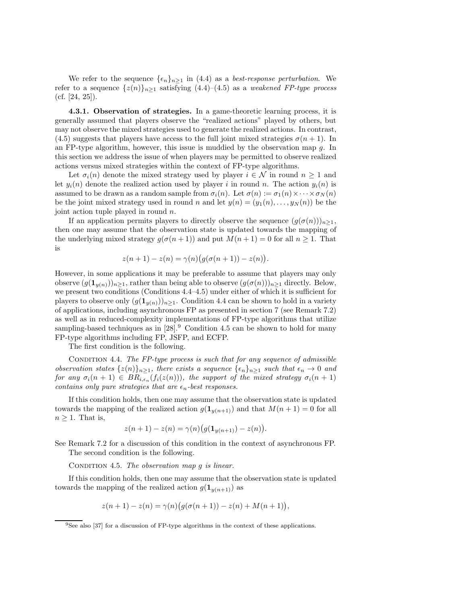We refer to the sequence  $\{\epsilon_n\}_{n\geq 1}$  in [\(4.4\)](#page-7-0) as a *best-response perturbation*. We refer to a sequence  $\{z(n)\}_{n\geq 1}$  satisfying  $(4.4)-(4.5)$  $(4.4)-(4.5)$  $(4.4)-(4.5)$  as a *weakened FP-type process* (cf. [\[24,](#page-22-14) [25\]](#page-22-15)).

<span id="page-8-0"></span>**4.3.1. Observation of strategies.** In a game-theoretic learning process, it is generally assumed that players observe the "realized actions" played by others, but may not observe the mixed strategies used to generate the realized actions. In contrast, [\(4.5\)](#page-7-1) suggests that players have access to the full joint mixed strategies  $\sigma(n+1)$ . In an FP-type algorithm, however, this issue is muddied by the observation map g. In this section we address the issue of when players may be permitted to observe realized actions versus mixed strategies within the context of FP-type algorithms.

Let  $\sigma_i(n)$  denote the mixed strategy used by player  $i \in \mathcal{N}$  in round  $n \geq 1$  and let  $y_i(n)$  denote the realized action used by player i in round n. The action  $y_i(n)$  is assumed to be drawn as a random sample from  $\sigma_i(n)$ . Let  $\sigma(n) := \sigma_1(n) \times \cdots \times \sigma_N(n)$ be the joint mixed strategy used in round n and let  $y(n)=(y_1(n),...,y_N(n))$  be the joint action tuple played in round  $n$ .

If an application permits players to directly observe the sequence  $(g(\sigma(n))_{n>1}$ , then one may assume that the observation state is updated towards the mapping of the underlying mixed strategy  $g(\sigma(n+1))$  and put  $M(n+1) = 0$  for all  $n \geq 1$ . That is

$$
z(n+1) - z(n) = \gamma(n) \big(g(\sigma(n+1)) - z(n)\big).
$$

However, in some applications it may be preferable to assume that players may only observe  $(g(\mathbf{1}_{y(n)}))_{n>1}$ , rather than being able to observe  $(g(\sigma(n)))_{n>1}$  directly. Below, we present two conditions (Conditions [4.4–](#page-8-1)[4.5\)](#page-8-2) under either of which it is sufficient for players to observe only  $(g(1_{y(n)}))_{n\geq 1}$ . Condition [4.4](#page-8-1) can be shown to hold in a variety of applications, including asynchronous FP as presented in section [7](#page-14-0) (see Remark [7.2\)](#page-17-0) as well as in reduced-complexity implementations of FP-type algorithms that utilize sampling-based techniques as in  $[28]$ <sup>9</sup> Condition [4.5](#page-8-2) can be shown to hold for many FP-type algorithms including FP, JSFP, and ECFP.

<span id="page-8-1"></span>The first condition is the following.

CONDITION 4.4. *The FP-type process is such that for any sequence of admissible observation states*  $\{z(n)\}_{n\geq 1}$ *, there exists a sequence*  $\{\epsilon_n\}_{n\geq 1}$  *such that*  $\epsilon_n \to 0$  *and*  $\epsilon_n$  for  $\epsilon_{n+1}$   $\in$   $BP$   $(f(\epsilon(n)))$  the sumpation of the minority of the state  $\epsilon_n$   $\in$   $(n+1)$ *for any*  $\sigma_i(n+1) \in BR_{i,\epsilon_n}(f_i(z(n)))$ *, the support of the mixed strategy*  $\sigma_i(n+1)$ *contains only pure strategies that are*  $\epsilon_n$ -best responses.

If this condition holds, then one may assume that the observation state is updated towards the mapping of the realized action  $g(\mathbf{1}_{y(n+1)})$  and that  $M(n+1) = 0$  for all  $n \geq 1$ . That is,

$$
z(n + 1) - z(n) = \gamma(n) \big( g(\mathbf{1}_{y(n+1)}) - z(n) \big).
$$

<span id="page-8-2"></span>See Remark [7.2](#page-17-0) for a discussion of this condition in the context of asynchronous FP. The second condition is the following.

CONDITION 4.5. *The observation map g is linear.* 

If this condition holds, then one may assume that the observation state is updated towards the mapping of the realized action  $g(\mathbf{1}_{y(n+1)})$  as

$$
z(n + 1) - z(n) = \gamma(n) (g(\sigma(n + 1)) - z(n) + M(n + 1)),
$$

<sup>9</sup>See also [\[37\]](#page-22-27) for a discussion of FP-type algorithms in the context of these applications.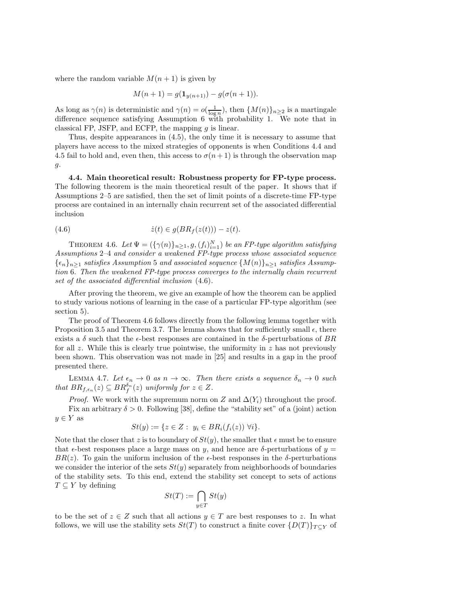where the random variable  $M(n + 1)$  is given by

$$
M(n + 1) = g(\mathbf{1}_{y(n+1)}) - g(\sigma(n + 1)).
$$

As long as  $\gamma(n)$  is deterministic and  $\gamma(n) = o(\frac{1}{\log n})$ , then  $\{M(n)\}_{n\geq 2}$  is a martingale difference sequence satisfying Assumption 6 with probability 1. We note that in difference sequence satisfying Assumption [6](#page-7-2) with probability 1. We note that in classical FP, JSFP, and ECFP, the mapping  $g$  is linear.

Thus, despite appearances in [\(4.5\)](#page-7-1), the only time it is necessary to assume that players have access to the mixed strategies of opponents is when Conditions [4.4](#page-8-1) and [4.5](#page-8-2) fail to hold and, even then, this access to  $\sigma(n+1)$  is through the observation map g.

**4.4. Main theoretical result: Robustness property for FP-type process.** The following theorem is the main theoretical result of the paper. It shows that if Assumptions [2](#page-6-1)[–5](#page-7-3) are satisfied, then the set of limit points of a discrete-time FP-type process are contained in an internally chain recurrent set of the associated differential inclusion

<span id="page-9-2"></span>(4.6) 
$$
\dot{z}(t) \in g(BR_f(z(t))) - z(t).
$$

<span id="page-9-1"></span>THEOREM 4.6. Let  $\Psi = (\{\gamma(n)\}_{n \geq 1}, g, (f_i)_{i=1}^N)$  *be an FP-type algorithm satisfying*<br>umptions 2–4 and consider a weakened FP-type process whose associated sequence *Assumptions* [2–](#page-6-1)[4](#page-6-2) *and consider a weakened FP-type process whose associated sequence*  $\{\epsilon_n\}_{n\geq 1}$  *satisfies Assumption* [5](#page-7-3) *and associated sequence*  $\{M(n)\}_{n\geq 1}$  *satisfies Assumption* 6. Then the usebened EB type presence converges to the internally chain presumption *tion* [6.](#page-7-2) *Then the weakened FP-type process converges to the internally chain recurrent set of the associated differential inclusion* [\(4.6\)](#page-9-2)*.*

After proving the theorem, we give an example of how the theorem can be applied to study various notions of learning in the case of a particular FP-type algorithm (see section [5\)](#page-12-0).

The proof of Theorem [4.6](#page-9-1) follows directly from the following lemma together with Proposition [3.5](#page-4-2) and Theorem [3.7.](#page-5-1) The lemma shows that for sufficiently small  $\epsilon$ , there exists a  $\delta$  such that the  $\epsilon$ -best responses are contained in the  $\delta$ -perturbations of BR for all z. While this is clearly true pointwise, the uniformity in z has not previously been shown. This observation was not made in [\[25\]](#page-22-15) and results in a gap in the proof presented there.

<span id="page-9-0"></span>LEMMA 4.7. Let  $\epsilon_n \to 0$  as  $n \to \infty$ . Then there exists a sequence  $\delta_n \to 0$  such *that*  $BR_{f,\epsilon_n}(z) \subseteq BR_f^{\delta_n}(z)$  *uniformly for*  $z \in Z$ *.* 

*Proof.* We work with the supremum norm on Z and  $\Delta(Y_i)$  throughout the proof. Fix an arbitrary  $\delta > 0$ . Following [\[38\]](#page-22-28), define the "stability set" of a (joint) action  $y \in Y$  as

$$
St(y) := \{ z \in Z : y_i \in BR_i(f_i(z)) \; \forall i \}.
$$

Note that the closer that z is to boundary of  $St(y)$ , the smaller that  $\epsilon$  must be to ensure that  $\epsilon$ -best responses place a large mass on y, and hence are  $\delta$ -perturbations of  $y =$  $BR(z)$ . To gain the uniform inclusion of the  $\epsilon$ -best responses in the  $\delta$ -perturbations we consider the interior of the sets  $St(y)$  separately from neighborhoods of boundaries of the stability sets. To this end, extend the stability set concept to sets of actions  $T \subseteq Y$  by defining

$$
St(T) := \bigcap_{y \in T} St(y)
$$

to be the set of  $z \in Z$  such that all actions  $y \in T$  are best responses to z. In what follows, we will use the stability sets  $St(T)$  to construct a finite cover  $\{D(T)\}_{T\subset Y}$  of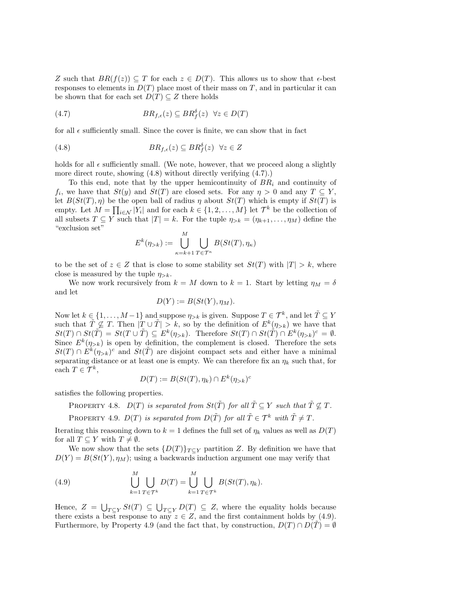Z such that  $BR(f(z)) \subseteq T$  for each  $z \in D(T)$ . This allows us to show that  $\epsilon$ -best responses to elements in  $D(T)$  place most of their mass on T, and in particular it can be shown that for each set  $D(T) \subseteq Z$  there holds

<span id="page-10-1"></span>(4.7) 
$$
BR_{f,\epsilon}(z) \subseteq BR_f^{\delta}(z) \quad \forall z \in D(T)
$$

for all  $\epsilon$  sufficiently small. Since the cover is finite, we can show that in fact

(4.8) 
$$
BR_{f,\epsilon}(z) \subseteq BR_{f}^{\delta}(z) \quad \forall z \in Z
$$

holds for all  $\epsilon$  sufficiently small. (We note, however, that we proceed along a slightly more direct route, showing [\(4.8\)](#page-10-0) without directly verifying [\(4.7\)](#page-10-1).)

To this end, note that by the upper hemicontinuity of  $BR_i$  and continuity of  $f_i$ , we have that  $St(y)$  and  $St(T)$  are closed sets. For any  $\eta > 0$  and any  $T \subseteq Y$ , let  $B(St(T), \eta)$  be the open ball of radius  $\eta$  about  $St(T)$  which is empty if  $St(T)$  is empty. Let  $M = \prod_{i \in \mathcal{N}} |Y_i|$  and for each  $k \in \{1, 2, ..., M\}$  let  $\mathcal{T}^k$  be the collection of all subsets  $T \subseteq Y$  such that  $|T| = k$ . For the tuple  $\eta_{>k} = (\eta_{k+1}, \dots, \eta_M)$  define the "exclusion set"

<span id="page-10-0"></span>
$$
E^{k}(\eta_{>k}) := \bigcup_{\kappa=k+1}^{M} \bigcup_{T \in \mathcal{T}^{\kappa}} B(St(T), \eta_{\kappa})
$$

to be the set of  $z \in Z$  that is close to some stability set  $St(T)$  with  $|T| > k$ , where close is measured by the tuple  $\eta_{>k}$ .

We now work recursively from  $k = M$  down to  $k = 1$ . Start by letting  $\eta_M = \delta$ and let

$$
D(Y) := B(St(Y), \eta_M).
$$

Now let  $k \in \{1, ..., M-1\}$  and suppose  $\eta_{>k}$  is given. Suppose  $T \in \mathcal{T}^k$ , and let  $\tilde{T} \subseteq Y$ such that  $\tilde{T} \nsubseteq T$ . Then  $|T \cup \tilde{T}| > k$ , so by the definition of  $E^k(\eta_{>k})$  we have that  $St(T) \cap St(\tilde{T}) = St(T \cup \tilde{T}) \subseteq E^k(\eta_{>k}).$  Therefore  $St(T) \cap St(\tilde{T}) \cap E^k(\eta_{>k})^c = \emptyset.$ Since  $E^k(\eta_{>k})$  is open by definition, the complement is closed. Therefore the sets  $St(T) \cap E^k(\eta_{>k})^c$  and  $St(T)$  are disjoint compact sets and either have a minimal separating distance or at least one is empty. We can therefore fix an  $\eta_k$  such that, for each  $T \in \mathcal{T}^k$ ,

$$
D(T) := B(St(T), \eta_k) \cap E^k(\eta_{>k})^c
$$

<span id="page-10-4"></span>satisfies the following properties.

<span id="page-10-3"></span>PROPERTY 4.8.  $D(T)$  *is separated from*  $St(\tilde{T})$  *for all*  $\tilde{T} \subseteq Y$  *such that*  $\tilde{T} \nsubseteq T$ *.* 

PROPERTY 4.9.  $D(T)$  *is separated from*  $D(\tilde{T})$  *for all*  $\tilde{T} \in \mathcal{T}^k$  *with*  $\tilde{T} \neq T$ *.* 

Iterating this reasoning down to  $k = 1$  defines the full set of  $\eta_k$  values as well as  $D(T)$ for all  $T \subseteq Y$  with  $T \neq \emptyset$ .

We now show that the sets  $\{D(T)\}_{T\subset Y}$  partition Z. By definition we have that  $D(Y) = B(St(Y), \eta_M)$ ; using a backwards induction argument one may verify that

<span id="page-10-2"></span>(4.9) 
$$
\bigcup_{k=1}^{M} \bigcup_{T \in \mathcal{T}^k} D(T) = \bigcup_{k=1}^{M} \bigcup_{T \in \mathcal{T}^k} B(St(T), \eta_k).
$$

Hence,  $Z = \bigcup_{T \subseteq Y} St(T) \subseteq \bigcup_{T \subseteq Y} D(T) \subseteq Z$ , where the equality holds because there exists a best response to any  $z \in Z$ , and the first containment holds by [\(4.9\)](#page-10-2). Furthermore, by Property [4.9](#page-10-3) (and the fact that, by construction,  $D(T) \cap D(T) = \emptyset$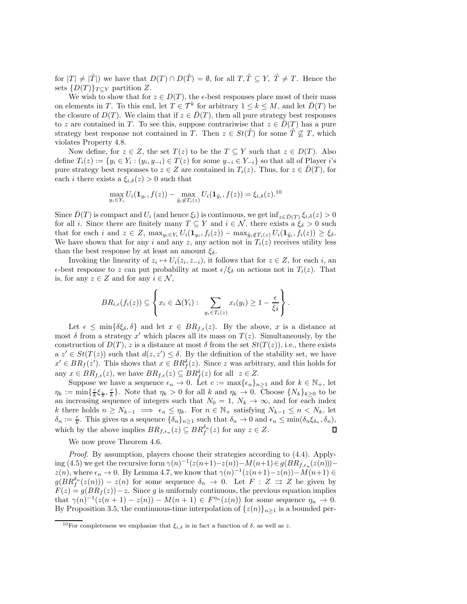for  $|T| \neq |\tilde{T}|$  we have that  $D(T) \cap D(\tilde{T}) = \emptyset$ , for all  $T, \tilde{T} \subseteq Y$ ,  $\tilde{T} \neq T$ . Hence the sets  $\{D(T)\}_{T\subseteq Y}$  partition Z.

We wish to show that for  $z \in D(T)$ , the  $\epsilon$ -best responses place most of their mass on elements in T. To this end, let  $T \in \mathcal{T}^k$  for arbitrary  $1 \leq k \leq M$ , and let  $\overline{D}(T)$  be the closure of  $D(T)$ . We claim that if  $z \in D(T)$ , then all pure strategy best responses to z are contained in T. To see this, suppose contrariwise that  $z \in \overline{D}(T)$  has a pure strategy best response not contained in T. Then  $z \in St(T)$  for some  $T \nsubseteq T$ , which violates Property [4.8.](#page-10-4)

Now define, for  $z \in Z$ , the set  $T(z)$  to be the  $T \subseteq Y$  such that  $z \in D(T)$ . Also define  $T_i(z) := \{y_i \in Y_i : (y_i, y_{-i}) \in T(z) \text{ for some } y_{-i} \in Y_{-i}\}\$  so that all of Player i's pure strategy best responses to  $z \in Z$  are contained in  $T_i(z)$ . Thus, for  $z \in \overline{D}(T)$ , for each *i* there exists a  $\xi_{i,\delta}(z) > 0$  such that

$$
\max_{y_i \in Y_i} U_i(\mathbf{1}_{y_i}, f(z)) - \max_{\tilde{y}_i \notin T_i(z)} U_i(\mathbf{1}_{\tilde{y}_i}, f(z)) = \xi_{i,\delta}(z).^{10}
$$

Since  $D(T)$  is compact and  $U_i$  (and hence  $\xi_i$ ) is continuous, we get inf<sub> $z\in\bar{D}(T)$ </sub>  $\xi_{i,\delta}(z) > 0$ for all *i*. Since there are finitely many  $T \subseteq Y$  and  $i \in \mathcal{N}$ , there exists a  $\xi_{\delta} > 0$  such that for each i and  $z \in Z$ ,  $\max_{y_i \in Y_i} U_i(\mathbf{1}_{y_i}, f_i(z)) - \max_{\tilde{y}_i \notin T_i(z)} U_i(\mathbf{1}_{\tilde{y}_i}, f_i(z)) \geq \xi_{\delta}$ . We have shown that for any i and any z, any action not in  $T_i(z)$  receives utility less than the best response by at least an amount  $\xi_{\delta}$ .

Invoking the linearity of  $z_i \mapsto U_i(z_i, z_{-i})$ , it follows that for  $z \in Z$ , for each i, an  $\epsilon$ -best response to z can put probability at most  $\epsilon/\xi_{\delta}$  on actions not in  $T_i(z)$ . That is, for any  $z \in Z$  and for any  $i \in \mathcal{N}$ ,

$$
BR_{i,\epsilon}(f_i(z)) \subseteq \left\{ x_i \in \Delta(Y_i) : \sum_{y_i \in T_i(z)} x_i(y_i) \geq 1 - \frac{\epsilon}{\xi_{\delta}} \right\}.
$$

Let  $\epsilon \leq \min\{\delta \xi_{\delta}, \delta\}$  and let  $x \in BR_{f,\epsilon}(z)$ . By the above, x is a distance at most  $\delta$  from a strategy x' which places all its mass on  $T(z)$ . Simultaneously, by the construction of  $D(T)$ , z is a distance at most  $\delta$  from the set  $St(T(z))$ , i.e., there exists  $a \, z' \in St(T(z))$  such that  $d(z, z') \leq \delta$ . By the definition of the stability set, we have  $x' \in BR_f(z')$ . This shows that  $x \in BR_f^{\delta}(z)$ . Since z was arbitrary, and this holds for any  $x \in BR_{f,\epsilon}(z)$ , we have  $BR_{f,\epsilon}(z) \subseteq BR_{f}^{\delta}(z)$  for all  $z \in Z$ .

Suppose we have a sequence  $\epsilon_n \to 0$ . Let  $c := \max{\{\epsilon_n\}}_{n \geq 1}$  and for  $k \in \mathbb{N}_+$ , let  $\eta_k := \min\{\frac{c}{k}\xi_k, \frac{c}{k}\}\.$  Note that  $\eta_k > 0$  for all k and  $\eta_k \to 0$ . Choose  $\{N_k\}_{k\geq 0}$  to be an increasing sequence of integers such that  $N_0 = 1, N_k \to \infty$ , and for each index k there holds  $n \ge N_{k-1} \implies \epsilon_n \le \eta_k$ . For  $n \in \mathbb{N}_+$  satisfying  $N_{k-1} \le n \le N_k$ , let  $\delta_n := \frac{c}{k}$ . This gives us a sequence  $\{\delta_n\}_{n\geq 1}$  such that  $\delta_n \to 0$  and  $\epsilon_n \leq \min(\delta_n \xi_{\delta_n}, \delta_n)$ , which by the above implies  $BR_{f,\epsilon_n}(z) \subseteq BR_f^{\delta_n}(z)$  for any  $z \in Z$ . П

We now prove Theorem [4.6.](#page-9-1)

*Proof.* By assumption, players choose their strategies according to [\(4.4\)](#page-7-0). Apply-ing [\(4.5\)](#page-7-1) we get the recursive form  $\gamma(n)^{-1}(z(n+1)-z(n)) - M(n+1) \in g(BR_{f,\epsilon_n}(z(n)))$  $z(n)$ , where  $\epsilon_n \to 0$ . By Lemma [4.7,](#page-9-0) we know that  $\gamma(n)^{-1}(z(n+1)-z(n)) - M(n+1) \in$  $g(BR_f^{\delta_n}(z(n))) - z(n)$  for some sequence  $\delta_n \to 0$ . Let  $F : Z \to Z$  be given by  $F(z) = g(BR<sub>f</sub>(z)) - z$ . Since g is uniformly continuous, the previous equation implies that  $\gamma(n)^{-1}(z(n+1) - z(n)) - M(n+1) \in F^{\eta_n}(z(n))$  for some sequence  $\eta_n \to 0$ . By Proposition [3.5,](#page-4-2) the continuous-time interpolation of  $\{z(n)\}_{n>1}$  is a bounded per-

 $^{10}{\rm For}$  completeness we emphasize that  $\xi_{i,\delta}$  is in fact a function of<br>  $\delta,$  as well as  $z.$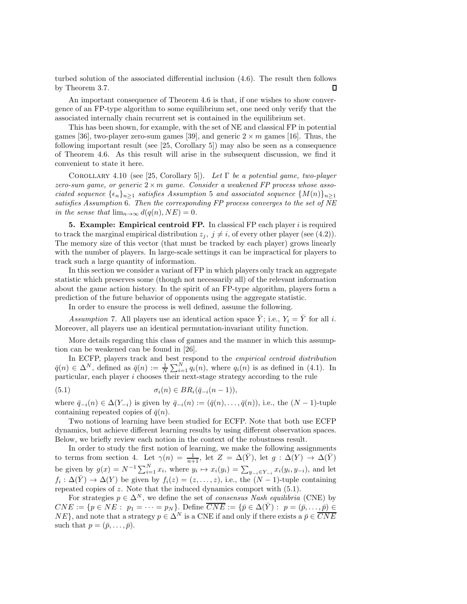turbed solution of the associated differential inclusion [\(4.6\)](#page-9-2). The result then follows by Theorem [3.7.](#page-5-1) П

An important consequence of Theorem [4.6](#page-9-1) is that, if one wishes to show convergence of an FP-type algorithm to some equilibrium set, one need only verify that the associated internally chain recurrent set is contained in the equilibrium set.

This has been shown, for example, with the set of NE and classical FP in potential games [\[36\]](#page-22-26), two-player zero-sum games [\[39\]](#page-22-29), and generic  $2 \times m$  games [\[16\]](#page-22-6). Thus, the following important result (see [\[25,](#page-22-15) Corollary 5]) may also be seen as a consequence of Theorem [4.6.](#page-9-1) As this result will arise in the subsequent discussion, we find it convenient to state it here.

<span id="page-12-3"></span>Corollary 4.10 (see [\[25,](#page-22-15) Corollary 5]). *Let* Γ *be a potential game, two-player zero-sum game, or generic* 2× m *game. Consider a weakened FP process whose associated sequence*  $\{\epsilon_n\}_{n\geq 1}$  *satisfies Assumption* [5](#page-7-3) *and associated sequence*  $\{M(n)\}_{n\geq 1}$ *satisfies Assumption* [6.](#page-7-2) *Then the corresponding FP process converges to the set of NE in the sense that*  $\lim_{n\to\infty} d(q(n),NE)=0$ .

<span id="page-12-0"></span>**5. Example: Empirical centroid FP.** In classical FP each player i is required to track the marginal empirical distribution  $z_j$ ,  $j \neq i$ , of every other player (see [\(4.2\)](#page-6-3)). The memory size of this vector (that must be tracked by each player) grows linearly with the number of players. In large-scale settings it can be impractical for players to track such a large quantity of information.

In this section we consider a variant of FP in which players only track an aggregate statistic which preserves some (though not necessarily all) of the relevant information about the game action history. In the spirit of an FP-type algorithm, players form a prediction of the future behavior of opponents using the aggregate statistic.

In order to ensure the process is well defined, assume the following.

<span id="page-12-2"></span>*Assumption* 7. All players use an identical action space  $\bar{Y}$ ; i.e.,  $Y_i = \bar{Y}$  for all i. Moreover, all players use an identical permutation-invariant utility function.

More details regarding this class of games and the manner in which this assumption can be weakened can be found in [\[26\]](#page-22-16).

In ECFP, players track and best respond to the *empirical centroid distribution*  $\bar{q}(n) \in \Delta^N$ , defined as  $\bar{q}(n) := \frac{1}{N} \sum_{i=1}^N q_i(n)$ , where  $q_i(n)$  is as defined in [\(4.1\)](#page-5-2). In particular, each player *i* chooses their next-stage strategy according to the rule

<span id="page-12-1"></span>(5.1) 
$$
\sigma_i(n) \in BR_i(\bar{q}_{-i}(n-1)),
$$

where  $\bar{q}_{-i}(n) \in \Delta(Y_{-i})$  is given by  $\bar{q}_{-i}(n) := (\bar{q}(n), \ldots, \bar{q}(n)),$  i.e., the  $(N-1)$ -tuple containing repeated copies of  $\bar{q}(n)$ .

Two notions of learning have been studied for ECFP. Note that both use ECFP dynamics, but achieve different learning results by using different observation spaces. Below, we briefly review each notion in the context of the robustness result.

In order to study the first notion of learning, we make the following assignments to terms from section [4.](#page-5-0) Let  $\gamma(n) = \frac{1}{n+1}$ , let  $Z = \Delta(\bar{Y})$ , let  $g : \Delta(Y) \to \Delta(\bar{Y})$ be given by  $g(x) = N^{-1} \sum_{i=1}^{N} x_i$ , where  $y_i \mapsto x_i(y_i) = \sum_{y_{-i} \in Y_{-i}} x_i(y_i, y_{-i})$ , and let  $f_i : \Delta(\bar{Y}) \to \Delta(Y)$  be given by  $f_i(z)=(z,\ldots,z)$ , i.e., the  $(N-1)$ -tuple containing repeated copies of z. Note that the induced dynamics comport with [\(5.1\)](#page-12-1).

For strategies  $p \in \Delta^N$ , we define the set of *consensus Nash equilibria* (CNE) by  $CNE := \{p \in NE : p_1 = \cdots = p_N\}$ . Define  $\overline{CNE} := \{\overline{p} \in \Delta(\overline{Y}) : p = (\overline{p}, \ldots, \overline{p}) \in NE\}$ , and note that a strategy  $p \in \Delta^N$  is a CNE if and only if there exists a  $\overline{p} \in \overline{CNE}$ such that  $p = (\bar{p}, \ldots, \bar{p}).$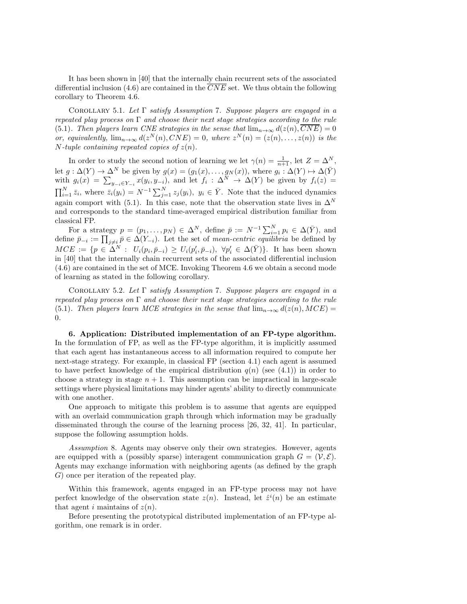It has been shown in [\[40\]](#page-22-30) that the internally chain recurrent sets of the associated differential inclusion [\(4.6\)](#page-9-2) are contained in the  $\overline{CNE}$  set. We thus obtain the following corollary to Theorem [4.6.](#page-9-1)

Corollary 5.1. *Let* Γ *satisfy Assumption* [7.](#page-12-2) *Suppose players are engaged in a repeated play process on* Γ *and choose their next stage strategies according to the rule* [\(5.1\)](#page-12-1)*. Then players learn CNE strategies in the sense that*  $\lim_{n\to\infty} d(z(n), \overline{CNE})=0$ *or, equivalently,*  $\lim_{n\to\infty} d(z^N(n), CNE) = 0$ *, where*  $z^N(n) = (z(n),...,z(n))$  *is the* N*-tuple containing repeated copies of* z(n)*.*

In order to study the second notion of learning we let  $\gamma(n) = \frac{1}{n+1}$ , let  $Z = \Delta^N$ , let  $g: \Delta(Y) \to \Delta^N$  be given by  $g(x) = (g_1(x), \ldots, g_N(x))$ , where  $g_i : \Delta(Y) \mapsto \Delta(\bar{Y})$  with  $g_i(x) = \sum_{y_{-i} \in Y_{-i}} x(y_i, y_{-i})$ , and let  $f_i : \Delta^N \to \Delta(Y)$  be given by  $f_i(z) =$  $\prod_{i=1}^N \bar{z}_i$ , where  $\bar{z}_i(y_i) = N^{-1} \sum_{j=1}^N z_j(y_i)$ ,  $y_i \in \bar{Y}$ . Note that the induced dynamics again comport with [\(5.1\)](#page-12-1). In this case, note that the observation state lives in  $\Delta^N$ and corresponds to the standard time-averaged empirical distribution familiar from classical FP.

For a strategy  $p = (p_1, \ldots, p_N) \in \Delta^N$ , define  $\bar{p} := N^{-1} \sum_{i=1}^N p_i \in \Delta(\bar{Y})$ , and define  $\bar{p}_{-i} := \prod_{j \neq i} \bar{p} \in \Delta(Y_{-i})$ . Let the set of *mean-centric equilibria* be defined by  $MCF_{-i}$ ,  $\int_{\Delta} \Delta^N$ ,  $H(\bar{p}_i, \bar{p}_i$  $MCE := \{ p \in \Delta^N : U_i(p_i, \bar{p}_{-i}) \geq U_i(p'_i, \bar{p}_{-i}), \ \forall p'_i \in \Delta(\bar{Y}) \}.$  It has been shown in [\[40\]](#page-22-30) that the internally chain recurrent sets of the associated differential inclusion [\(4.6\)](#page-9-2) are contained in the set of MCE. Invoking Theorem [4.6](#page-9-1) we obtain a second mode of learning as stated in the following corollary.

Corollary 5.2. *Let* Γ *satisfy Assumption* [7.](#page-12-2) *Suppose players are engaged in a repeated play process on* Γ *and choose their next stage strategies according to the rule* [\(5.1\)](#page-12-1)*. Then players learn MCE strategies in the sense that*  $\lim_{n\to\infty} d(z(n),MCE)$  = 0*.*

<span id="page-13-0"></span>**6. Application: Distributed implementation of an FP-type algorithm.** In the formulation of FP, as well as the FP-type algorithm, it is implicitly assumed that each agent has instantaneous access to all information required to compute her next-stage strategy. For example, in classical FP (section [4.1\)](#page-5-3) each agent is assumed to have perfect knowledge of the empirical distribution  $q(n)$  (see [\(4.1\)](#page-5-2)) in order to choose a strategy in stage  $n + 1$ . This assumption can be impractical in large-scale settings where physical limitations may hinder agents' ability to directly communicate with one another.

One approach to mitigate this problem is to assume that agents are equipped with an overlaid communication graph through which information may be gradually disseminated through the course of the learning process [\[26,](#page-22-16) [32,](#page-22-21) [41\]](#page-23-0). In particular, suppose the following assumption holds.

<span id="page-13-1"></span>*Assumption* 8. Agents may observe only their own strategies. However, agents are equipped with a (possibly sparse) interagent communication graph  $G = (\mathcal{V}, \mathcal{E})$ . Agents may exchange information with neighboring agents (as defined by the graph G) once per iteration of the repeated play.

Within this framework, agents engaged in an FP-type process may not have perfect knowledge of the observation state  $z(n)$ . Instead, let  $\hat{z}^i(n)$  be an estimate that agent i maintains of  $z(n)$ .

Before presenting the prototypical distributed implementation of an FP-type algorithm, one remark is in order.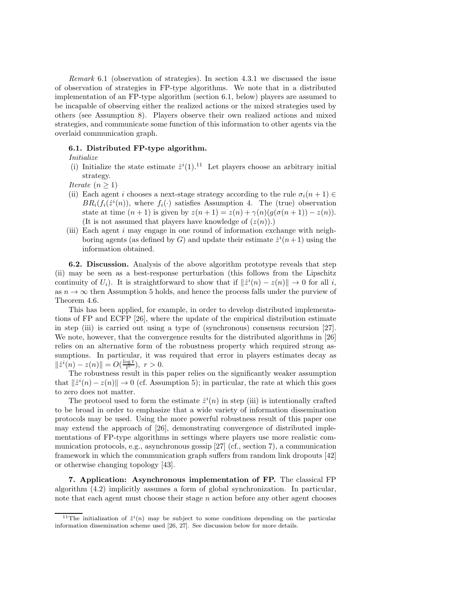*Remark* 6.1 (observation of strategies). In section [4.3.1](#page-8-0) we discussed the issue of observation of strategies in FP-type algorithms. We note that in a distributed implementation of an FP-type algorithm (section [6.1,](#page-14-1) below) players are assumed to be incapable of observing either the realized actions or the mixed strategies used by others (see Assumption [8\)](#page-13-1). Players observe their own realized actions and mixed strategies, and communicate some function of this information to other agents via the overlaid communication graph.

## <span id="page-14-1"></span>**6.1. Distributed FP-type algorithm.**

*Initialize*

(i) Initialize the state estimate  $\hat{z}^i(1)$ .<sup>11</sup> Let players choose an arbitrary initial strategy.

*Iterate*  $(n > 1)$ 

- (ii) Each agent i chooses a next-stage strategy according to the rule  $\sigma_i(n+1) \in$  $BR_i(f_i(\hat{z}^i(n))$ , where  $f_i(\cdot)$  satisfies Assumption [4.](#page-6-2) The (true) observation state at time  $(n+1)$  is given by  $z(n+1) = z(n) + \gamma(n)(g(\sigma(n+1)) - z(n)).$ (It is not assumed that players have knowledge of  $(z(n))$ .)
- (iii) Each agent i may engage in one round of information exchange with neighboring agents (as defined by G) and update their estimate  $\hat{z}^{i}(n+1)$  using the information obtained.

**6.2. Discussion.** Analysis of the above algorithm prototype reveals that step (ii) may be seen as a best-response perturbation (this follows from the Lipschitz continuity of  $U_i$ ). It is straightforward to show that if  $\|\hat{z}^i(n) - z(n)\| \to 0$  for all i, as  $n \to \infty$  then Assumption [5](#page-7-3) holds, and hence the process falls under the purview of Theorem [4.6.](#page-9-1)

This has been applied, for example, in order to develop distributed implementations of FP and ECFP [\[26\]](#page-22-16), where the update of the empirical distribution estimate in step (iii) is carried out using a type of (synchronous) consensus recursion [\[27\]](#page-22-25). We note, however, that the convergence results for the distributed algorithms in [\[26\]](#page-22-16) relies on an alternative form of the robustness property which required strong assumptions. In particular, it was required that error in players estimates decay as  $\|\hat{z}^{i}(n)-z(n)\| = O(\frac{\log t}{t^{r}}), r > 0.$ 

The robustness result in this paper relies on the significantly weaker assumption that  $\|\hat{z}^{i}(n)-z(n)\| \to 0$  (cf. Assumption [5\)](#page-7-3); in particular, the rate at which this goes to zero does not matter.

The protocol used to form the estimate  $\hat{z}^i(n)$  in step (iii) is intentionally crafted to be broad in order to emphasize that a wide variety of information dissemination protocols may be used. Using the more powerful robustness result of this paper one may extend the approach of [\[26\]](#page-22-16), demonstrating convergence of distributed implementations of FP-type algorithms in settings where players use more realistic communication protocols, e.g., asynchronous gossip [\[27\]](#page-22-25) (cf., section [7\)](#page-14-0), a communication framework in which the communication graph suffers from random link dropouts [\[42\]](#page-23-1) or otherwise changing topology [\[43\]](#page-23-2).

<span id="page-14-0"></span>**7. Application: Asynchronous implementation of FP.** The classical FP algorithm [\(4.2\)](#page-6-3) implicitly assumes a form of global synchronization. In particular, note that each agent must choose their stage  $n$  action before any other agent chooses

<sup>&</sup>lt;sup>11</sup>The initialization of  $\hat{z}^{i}(n)$  may be subject to some conditions depending on the particular information dissemination scheme used [\[26,](#page-22-16) [27\]](#page-22-25). See discussion below for more details.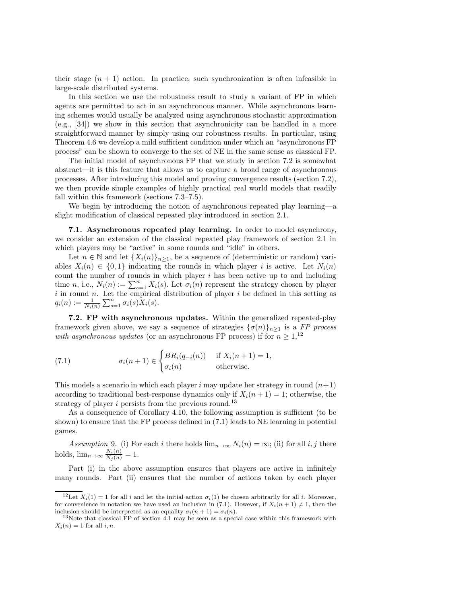their stage  $(n + 1)$  action. In practice, such synchronization is often infeasible in large-scale distributed systems.

In this section we use the robustness result to study a variant of FP in which agents are permitted to act in an asynchronous manner. While asynchronous learning schemes would usually be analyzed using asynchronous stochastic approximation (e.g., [\[34\]](#page-22-23)) we show in this section that asynchronicity can be handled in a more straightforward manner by simply using our robustness results. In particular, using Theorem [4.6](#page-9-1) we develop a mild sufficient condition under which an "asynchronous FP process" can be shown to converge to the set of NE in the same sense as classical FP.

The initial model of asynchronous FP that we study in section [7.2](#page-15-0) is somewhat abstract—it is this feature that allows us to capture a broad range of asynchronous processes. After introducing this model and proving convergence results (section [7.2\)](#page-15-0), we then provide simple examples of highly practical real world models that readily fall within this framework (sections [7.3](#page-18-0)[–7.5\)](#page-20-1).

We begin by introducing the notion of asynchronous repeated play learning—a slight modification of classical repeated play introduced in section [2.1.](#page-3-2)

<span id="page-15-3"></span>**7.1. Asynchronous repeated play learning.** In order to model asynchrony, we consider an extension of the classical repeated play framework of section [2.1](#page-3-2) in which players may be "active" in some rounds and "idle" in others.

Let  $n \in \mathbb{N}$  and let  $\{X_i(n)\}_{n>1}$ , be a sequence of (deterministic or random) variables  $X_i(n) \in \{0,1\}$  indicating the rounds in which player i is active. Let  $N_i(n)$ count the number of rounds in which player  $i$  has been active up to and including time n, i.e.,  $N_i(n) := \sum_{s=1}^n X_i(s)$ . Let  $\sigma_i(n)$  represent the strategy chosen by player<br>i in round n. Let the empirical distribution of player i be defined in this setting as i in round n. Let the empirical distribution of player i be defined in this setting as  $q_i(n) := \frac{1}{N_i(n)}$  $\sum_{s=1}^n \sigma_i(s) X_i(s)$ .

<span id="page-15-0"></span>**7.2. FP with asynchronous updates.** Within the generalized repeated-play framework given above, we say a sequence of strategies  $\{\sigma(n)\}_{n>1}$  is a *FP process with asynchronous updates* (or an asynchronous FP process) if for  $n \geq 1$ , <sup>12</sup>

<span id="page-15-1"></span>(7.1) 
$$
\sigma_i(n+1) \in \begin{cases} BR_i(q_{-i}(n)) & \text{if } X_i(n+1) = 1, \\ \sigma_i(n) & \text{otherwise.} \end{cases}
$$

This models a scenario in which each player i may update her strategy in round  $(n+1)$ according to traditional best-response dynamics only if  $X_i(n+1) = 1$ ; otherwise, the strategy of player i persists from the previous round.<sup>13</sup>

As a consequence of Corollary [4.10,](#page-12-3) the following assumption is sufficient (to be shown) to ensure that the FP process defined in [\(7.1\)](#page-15-1) leads to NE learning in potential games.

<span id="page-15-2"></span>*Assumption* 9. (i) For each i there holds  $\lim_{n\to\infty} N_i(n) = \infty$ ; (ii) for all i, j there holds,  $\lim_{n\to\infty} \frac{N_i(n)}{N_j(n)} = 1.$ 

Part (i) in the above assumption ensures that players are active in infinitely many rounds. Part (ii) ensures that the number of actions taken by each player

<sup>&</sup>lt;sup>12</sup>Let  $X_i(1) = 1$  for all i and let the initial action  $\sigma_i(1)$  be chosen arbitrarily for all i. Moreover, for convenience in notation we have used an inclusion in [\(7.1\)](#page-15-1). However, if  $X_i(n + 1) \neq 1$ , then the inclusion should be interpreted as an equality  $\sigma_i(n + 1) = \sigma_i(n)$ .

 $13$ Note that classical FP of section [4.1](#page-5-3) may be seen as a special case within this framework with  $X_i(n) = 1$  for all i, n.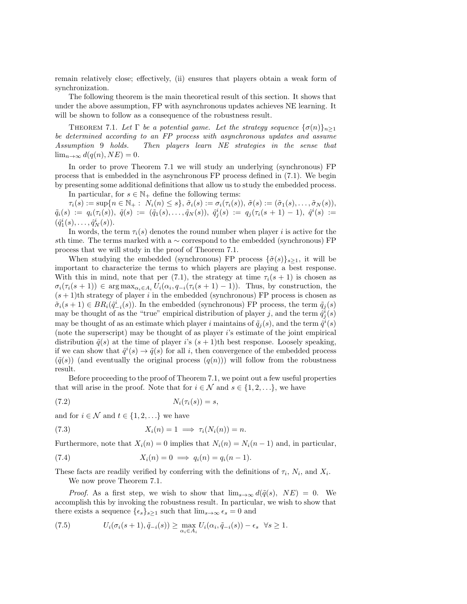remain relatively close; effectively, (ii) ensures that players obtain a weak form of synchronization.

The following theorem is the main theoretical result of this section. It shows that under the above assumption, FP with asynchronous updates achieves NE learning. It will be shown to follow as a consequence of the robustness result.

<span id="page-16-0"></span>THEOREM 7.1. Let  $\Gamma$  be a potential game. Let the strategy sequence  $\{\sigma(n)\}_{n\geq 1}$ *be determined according to an FP process with asynchronous updates and assume Assumption* [9](#page-15-2) *holds. Then players learn NE strategies in the sense that*  $\lim_{n\to\infty} d(q(n),NE)=0.$ 

In order to prove Theorem [7.1](#page-16-0) we will study an underlying (synchronous) FP process that is embedded in the asynchronous FP process defined in [\(7.1\)](#page-15-1). We begin by presenting some additional definitions that allow us to study the embedded process.

In particular, for  $s \in \mathbb{N}_+$  define the following terms:

 $\tau_i(s) := \sup\{n \in \mathbb{N}_+ : N_i(n) \leq s\}, \tilde{\sigma}_i(s) := \sigma_i(\tau_i(s)), \tilde{\sigma}(s) := (\tilde{\sigma}_1(s), \ldots, \tilde{\sigma}_N(s)),$  $\tilde{q}_i(s) := q_i(\tau_i(s)), \; \tilde{q}(s) := (\tilde{q}_1(s), \ldots, \tilde{q}_N(s)), \; \hat{q}^i_j(s) := q_j(\tau_i(s+1)-1), \; \hat{q}^i(s) := (\tilde{q}_1(s), \ldots, \tilde{q}_N(s))$  $(\hat{q}_1^i(s), \ldots, \hat{q}_N^i(s)).$ <br>In words, the

In words, the term  $\tau_i(s)$  denotes the round number when player i is active for the sth time. The terms marked with a  $\sim$  correspond to the embedded (synchronous) FP process that we will study in the proof of Theorem [7.1.](#page-16-0)

When studying the embedded (synchronous) FP process  $\{\tilde{\sigma}(s)\}_{s>1}$ , it will be important to characterize the terms to which players are playing a best response. With this in mind, note that per [\(7.1\)](#page-15-1), the strategy at time  $\tau_i(s + 1)$  is chosen as  $\sigma_i(\tau_i(s+1)) \in \arg \max_{\alpha_i \in A_i} U_i(\alpha_i, q_{-i}(\tau_i(s+1)-1)).$  Thus, by construction, the  $(s + 1)$ th strategy of player i in the embedded (synchronous) FP process is chosen as  $\sigma_i(s+1) \in BR_i(\hat{q}_{-i}^i(s))$ . In the embedded (synchronous) FP process, the term  $\tilde{q}_j(s)$ may be thought of as the "true" empirical distribution of player j, and the term  $\hat{q}_i^i(s)$ may be thought of as an estimate which player i maintains of  $\tilde{q}_i(s)$ , and the term  $\tilde{q}^i(s)$ (note the superscript) may be thought of as player  $i$ 's estimate of the joint empirical distribution  $\tilde{q}(s)$  at the time of player is  $(s + 1)$ th best response. Loosely speaking, if we can show that  $\hat{q}^i(s) \to \tilde{q}(s)$  for all i, then convergence of the embedded process  $(\tilde{q}(s))$  (and eventually the original process  $(q(n))$ ) will follow from the robustness result.

Before proceeding to the proof of Theorem [7.1,](#page-16-0) we point out a few useful properties that will arise in the proof. Note that for  $i \in \mathcal{N}$  and  $s \in \{1, 2, ...\}$ , we have

<span id="page-16-5"></span>
$$
(7.2) \t\t N_i(\tau_i(s)) = s,
$$

and for  $i \in \mathcal{N}$  and  $t \in \{1, 2, ...\}$  we have

<span id="page-16-2"></span>(7.3) 
$$
X_i(n) = 1 \implies \tau_i(N_i(n)) = n.
$$

Furthermore, note that  $X_i(n) = 0$  implies that  $N_i(n) = N_i(n-1)$  and, in particular,

<span id="page-16-3"></span>
$$
(7.4) \t\t X_i(n) = 0 \implies q_i(n) = q_i(n-1).
$$

<span id="page-16-4"></span>These facts are readily verified by conferring with the definitions of  $\tau_i$ ,  $N_i$ , and  $X_i$ . We now prove Theorem [7.1.](#page-16-0)

*Proof.* As a first step, we wish to show that  $\lim_{s\to\infty} d(\tilde{q}(s), NE) = 0$ . We accomplish this by invoking the robustness result. In particular, we wish to show that there exists a sequence  $\{\epsilon_s\}_{s\geq 1}$  such that  $\lim_{s\to\infty} \epsilon_s = 0$  and

<span id="page-16-1"></span>(7.5) 
$$
U_i(\sigma_i(s+1), \tilde{q}_{-i}(s)) \geq \max_{\alpha_i \in A_i} U_i(\alpha_i, \tilde{q}_{-i}(s)) - \epsilon_s \quad \forall s \geq 1.
$$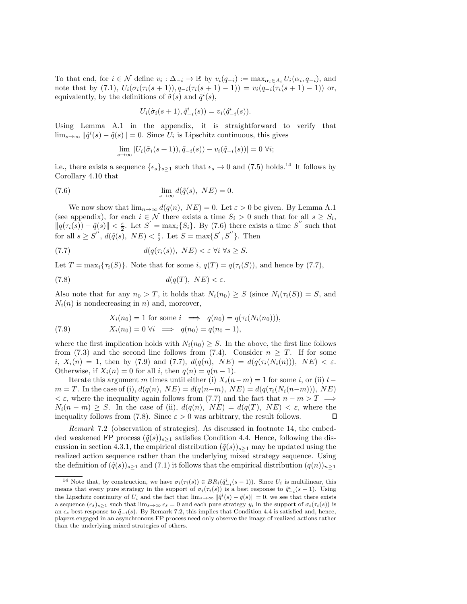To that end, for  $i \in \mathcal{N}$  define  $v_i : \Delta_{-i} \to \mathbb{R}$  by  $v_i(q_{-i}) := \max_{\alpha_i \in A_i} U_i(\alpha_i, q_{-i})$ , and note that by [\(7.1\)](#page-15-1),  $U_i(\sigma_i(\tau_i(s+1)), q_{-i}(\tau_i(s+1)-1)) = v_i(q_{-i}(\tau_i(s+1)-1))$  or, equivalently, by the definitions of  $\tilde{\sigma}(s)$  and  $\hat{q}^i(s)$ ,

$$
U_i(\tilde{\sigma}_i(s+1), \hat{q}_{-i}^i(s)) = v_i(\hat{q}_{-i}^i(s)).
$$

Using Lemma [A.1](#page-21-9) in the appendix, it is straightforward to verify that  $\lim_{s\to\infty} \|\hat{q}^i(s) - \tilde{q}(s)\| = 0.$  Since  $U_i$  is Lipschitz continuous, this gives

<span id="page-17-1"></span>
$$
\lim_{s \to \infty} |U_i(\tilde{\sigma}_i(s+1)), \tilde{q}_{-i}(s)) - v_i(\tilde{q}_{-i}(s))| = 0 \ \forall i;
$$

i.e., there exists a sequence  $\{\epsilon_s\}_{s\geq 1}$  such that  $\epsilon_s \to 0$  and  $(7.5)$  holds.<sup>14</sup> It follows by Corollary [4.10](#page-12-3) that

(7.6) 
$$
\lim_{s \to \infty} d(\tilde{q}(s), NE) = 0.
$$

We now show that  $\lim_{n\to\infty} d(q(n), NE) = 0$ . Let  $\varepsilon > 0$  be given. By Lemma [A.1](#page-21-9) (see appendix), for each  $i \in \mathcal{N}$  there exists a time  $S_i > 0$  such that for all  $s \geq S_i$ ,  $||q(\tau_i(s)) - \tilde{q}(s)|| < \frac{\varepsilon}{2}$ . Let  $S' = \max_i \{S_i\}$ . By [\(7.6\)](#page-17-1) there exists a time  $S''$  such that for all  $s \geq S''$ ,  $d(\tilde{q}(s), NE) < \frac{\varepsilon}{2}$ . Let  $S = \max\{S', S''\}$ . Then

<span id="page-17-2"></span>(7.7) 
$$
d(q(\tau_i(s)), NE) < \varepsilon \ \forall i \ \forall s \geq S.
$$

Let  $T = \max_i {\tau_i(S)}$ . Note that for some i,  $q(T) = q(\tau_i(S))$ , and hence by [\(7.7\)](#page-17-2),

<span id="page-17-4"></span>
$$
(7.8) \t d(q(T), NE) < \varepsilon.
$$

Also note that for any  $n_0 > T$ , it holds that  $N_i(n_0) \geq S$  (since  $N_i(\tau_i(S)) = S$ , and  $N_i(n)$  is nondecreasing in n) and, moreover,

<span id="page-17-3"></span>(7.9) 
$$
X_i(n_0) = 1 \text{ for some } i \implies q(n_0) = q(\tau_i(N_i(n_0))),
$$

$$
X_i(n_0) = 0 \ \forall i \implies q(n_0) = q(n_0 - 1),
$$

where the first implication holds with  $N_i(n_0) \geq S$ . In the above, the first line follows from [\(7.3\)](#page-16-2) and the second line follows from [\(7.4\)](#page-16-3). Consider  $n \geq T$ . If for some i,  $X_i(n) = 1$ , then by [\(7.9\)](#page-17-3) and [\(7.7\)](#page-17-2),  $d(q(n), NE) = d(q(\tau_i(N_i(n))), NE) < \varepsilon$ . Otherwise, if  $X_i(n) = 0$  for all i, then  $q(n) = q(n-1)$ .

Iterate this argument m times until either (i)  $X_i(n-m) = 1$  for some i, or (ii) t –  $m = T$ . In the case of (i),  $d(q(n), NE) = d(q(n-m), NE) = d(q(\tau_i(N_i(n-m))), NE)$  $< \varepsilon$ , where the inequality again follows from [\(7.7\)](#page-17-2) and the fact that  $n - m > T \implies$  $N_i(n-m) \geq S$ . In the case of (ii),  $d(q(n), NE) = d(q(T), NE) < \varepsilon$ , where the inequality follows from [\(7.8\)](#page-17-4). Since  $\varepsilon > 0$  was arbitrary, the result follows.  $\Box$ 

<span id="page-17-0"></span>*Remark* 7.2 (observation of strategies). As discussed in footnote [14,](#page-16-4) the embedded weakened FP process  $(\tilde{q}(s))_{s\geq 1}$  satisfies Condition [4.4.](#page-8-1) Hence, following the dis-cussion in section [4.3.1,](#page-8-0) the empirical distribution  $(\tilde{q}(s))_{s\geq 1}$  may be updated using the realized action sequence rather than the underlying mixed strategy sequence. Using the definition of  $(\tilde{q}(s))_{s\geq1}$  and  $(7.1)$  it follows that the empirical distribution  $(q(n))_{n\geq1}$ 

<sup>&</sup>lt;sup>14</sup> Note that, by construction, we have  $\sigma_i(\tau_i(s)) \in BR_i(\hat{q}_{-i}^i(s-1))$ . Since  $U_i$  is multilinear, this means that every pure strategy in the support of  $\sigma_i(\tau_i(s))$  is a best response to  $\hat{q}_{-i}^i(s-1)$ . Using the Lipschitz continuity of  $U_i$  and the fact that  $\lim_{s\to\infty} \|\hat{q}^i(s) - \tilde{q}(s)\| = 0$ , we see that there exists a sequence  $(\epsilon_s)_{s>1}$  such that  $\lim_{s\to\infty} \epsilon_s = 0$  and each pure strategy  $y_i$  in the support of  $\sigma_i(\tau_i(s))$  is an  $\epsilon_s$  best response to  $\tilde{q}_{-i}(s)$ . By Remark [7.2,](#page-17-0) this implies that Condition [4.4](#page-8-1) is satisfied and, hence, players engaged in an asynchronous FP process need only observe the image of realized actions rather than the underlying mixed strategies of others.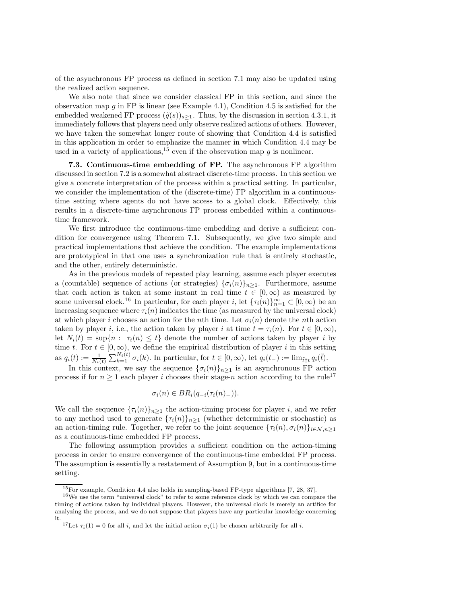of the asynchronous FP process as defined in section [7.1](#page-15-3) may also be updated using the realized action sequence.

We also note that since we consider classical FP in this section, and since the observation map g in FP is linear (see Example [4.1\)](#page-7-4), Condition [4.5](#page-8-2) is satisfied for the embedded weakened FP process  $(\tilde{q}(s))_{s\geq 1}$ . Thus, by the discussion in section [4.3.1,](#page-8-0) it immediately follows that players need only observe realized actions of others. However, we have taken the somewhat longer route of showing that Condition [4.4](#page-8-1) is satisfied in this application in order to emphasize the manner in which Condition [4.4](#page-8-1) may be used in a variety of applications,<sup>15</sup> even if the observation map g is nonlinear.

<span id="page-18-0"></span>**7.3. Continuous-time embedding of FP.** The asynchronous FP algorithm discussed in section [7.2](#page-15-0) is a somewhat abstract discrete-time process. In this section we give a concrete interpretation of the process within a practical setting. In particular, we consider the implementation of the (discrete-time) FP algorithm in a continuoustime setting where agents do not have access to a global clock. Effectively, this results in a discrete-time asynchronous FP process embedded within a continuoustime framework.

We first introduce the continuous-time embedding and derive a sufficient condition for convergence using Theorem [7.1.](#page-16-0) Subsequently, we give two simple and practical implementations that achieve the condition. The example implementations are prototypical in that one uses a synchronization rule that is entirely stochastic, and the other, entirely deterministic.

As in the previous models of repeated play learning, assume each player executes a (countable) sequence of actions (or strategies)  $\{\sigma_i(n)\}_{n\geq 1}$ . Furthermore, assume that each action is taken at some instant in real time  $t \in [0, \infty)$  as measured by some universal clock.<sup>16</sup> In particular, for each player i, let  $\{\tau_i(n)\}_{n=1}^{\infty} \subset [0,\infty)$  be an increasing sequence where  $\tau_i(n)$  indicates the time (as measured by the universal clock) increasing sequence where  $\tau_i(n)$  indicates the time (as measured by the universal clock) at which player i chooses an action for the nth time. Let  $\sigma_i(n)$  denote the nth action taken by player i, i.e., the action taken by player i at time  $t = \tau_i(n)$ . For  $t \in [0, \infty)$ , let  $N_i(t) = \sup\{n : \tau_i(n) \leq t\}$  denote the number of actions taken by player i by time t. For  $t \in [0, \infty)$ , we define the empirical distribution of player i in this setting as  $q_i(t) := \frac{1}{N_i(t)}$ <br>In this com- $\sum_{k=1}^{N_i(t)} \sigma_i(k)$ . In particular, for  $t \in [0, \infty)$ , let  $q_i(t-) := \lim_{\tilde{t} \uparrow t} q_i(\tilde{t})$ .

In this context, we say the sequence  $\{\sigma_i(n)\}_{n>1}$  is an asynchronous FP action process if for  $n \geq 1$  each player i chooses their stage-n action according to the rule<sup>17</sup>

$$
\sigma_i(n) \in BR_i(q_{-i}(\tau_i(n)_{-})).
$$

We call the sequence  $\{\tau_i(n)\}_{n\geq 1}$  the action-timing process for player i, and we refer to any method used to generate  $\{\tau_i(n)\}_{n\geq 1}$  (whether deterministic or stochastic) as an action-timing rule. Together, we refer to the joint sequence  $\{\tau_i(n), \sigma_i(n)\}_{i \in \mathcal{N}, n \geq 1}$ as a continuous-time embedded FP process.

The following assumption provides a sufficient condition on the action-timing process in order to ensure convergence of the continuous-time embedded FP process. The assumption is essentially a restatement of Assumption [9,](#page-15-2) but in a continuous-time setting.

<span id="page-18-1"></span><sup>&</sup>lt;sup>15</sup>For example, Condition [4.4](#page-8-1) also holds in sampling-based FP-type algorithms [\[7,](#page-21-5) [28,](#page-22-17) [37\]](#page-22-27). <sup>16</sup>We use the term "universal clock" to refer to some reference clock by which we can compare the

timing of actions taken by individual players. However, the universal clock is merely an artifice for analyzing the process, and we do not suppose that players have any particular knowledge concerning it.  $17$ Let  $\tau_i(1) = 0$  for all *i*, and let the initial action  $\sigma_i(1)$  be chosen arbitrarily for all *i*.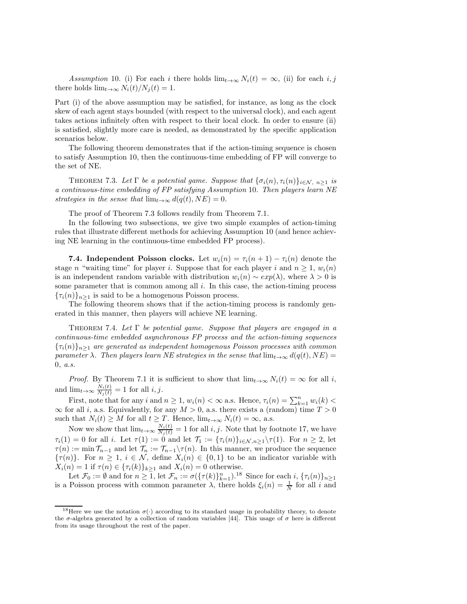*Assumption* 10. (i) For each i there holds  $\lim_{t\to\infty} N_i(t) = \infty$ , (ii) for each i, j there holds  $\lim_{t\to\infty} N_i(t)/N_i(t) = 1$ .

Part (i) of the above assumption may be satisfied, for instance, as long as the clock skew of each agent stays bounded (with respect to the universal clock), and each agent takes actions infinitely often with respect to their local clock. In order to ensure (ii) is satisfied, slightly more care is needed, as demonstrated by the specific application scenarios below.

The following theorem demonstrates that if the action-timing sequence is chosen to satisfy Assumption [10,](#page-18-1) then the continuous-time embedding of FP will converge to the set of NE.

<span id="page-19-0"></span>THEOREM 7.3. Let  $\Gamma$  *be a potential game. Suppose that*  $\{\sigma_i(n), \tau_i(n)\}_{i \in \mathcal{N}, n \geq 1}$  *is a continuous-time embedding of FP satisfying Assumption* [10.](#page-18-1) *Then players learn NE strategies in the sense that*  $\lim_{t\to\infty} d(q(t),NE)=0$ .

The proof of Theorem [7.3](#page-19-0) follows readily from Theorem [7.1.](#page-16-0)

In the following two subsections, we give two simple examples of action-timing rules that illustrate different methods for achieving Assumption [10](#page-18-1) (and hence achieving NE learning in the continuous-time embedded FP process).

**7.4. Independent Poisson clocks.** Let  $w_i(n) = \tau_i(n+1) - \tau_i(n)$  denote the stage n "waiting time" for player i. Suppose that for each player i and  $n \geq 1$ ,  $w_i(n)$ is an independent random variable with distribution  $w_i(n) \sim exp(\lambda)$ , where  $\lambda > 0$  is some parameter that is common among all  $i$ . In this case, the action-timing process  ${\tau_i(n)}_{n>1}$  is said to be a homogenous Poisson process.

The following theorem shows that if the action-timing process is randomly generated in this manner, then players will achieve NE learning.

Theorem 7.4. *Let* Γ *be potential game. Suppose that players are engaged in a continuous-time embedded asynchronous FP process and the action-timing sequences*  ${\lbrace \tau_i(n) \rbrace_{n \geq 1}}$  *are generated as independent homogenous Poisson processes with common parameter*  $\lambda$ *. Then players learn NE strategies in the sense that*  $\lim_{t\to\infty} d(q(t),NE)$  = 0*, a.s.*

*Proof.* By Theorem [7.1](#page-16-0) it is sufficient to show that  $\lim_{t\to\infty} N_i(t) = \infty$  for all i, and  $\lim_{t\to\infty} \frac{N_i(t)}{N_j(t)} = 1$  for all  $i, j$ .

First, note that for any i and  $n \ge 1$ ,  $w_i(n) < \infty$  a.s. Hence,  $\tau_i(n) = \sum_{k=1}^n w_i(k) <$  $\infty$  for all *i*, a.s. Equivalently, for any  $M > 0$ , a.s. there exists a (random) time  $T > 0$ such that  $N_i(t) \geq M$  for all  $t \geq T$ . Hence,  $\lim_{t \to \infty} N_i(t) = \infty$ , a.s.

Now we show that  $\lim_{t\to\infty} \frac{N_i(t)}{N_j(t)} = 1$  for all *i*, *j*. Note that by footnote [17,](#page-18-0) we have  $\tau_i(1) = 0$  for all i. Let  $\tau(1) := 0$  and let  $\mathcal{T}_1 := {\tau_i(n)}_{i \in \mathcal{N}, n \geq 1} \setminus \tau(1)$ . For  $n \geq 2$ , let  $\tau(n) := \min \mathcal{T}_{n-1}$  and let  $\mathcal{T}_n := \mathcal{T}_{n-1} \setminus \tau(n)$ . In this manner, we produce the sequence  ${\tau(n)}$ . For  $n \geq 1$ ,  $i \in \mathcal{N}$ , define  $X_i(n) \in \{0,1\}$  to be an indicator variable with  $X_i(n) = 1$  if  $\tau(n) \in {\tau_i(k)}_{k \geq 1}$  and  $X_i(n) = 0$  otherwise.

Let  $\mathcal{F}_0 := \emptyset$  and for  $n \geq 1$ , let  $\mathcal{F}_n := \sigma(\{\tau(k)\}_{k=1}^n)$ .<sup>18</sup> Since for each i,  $\{\tau_i(n)\}_{n \geq 1}$  is a Poisson process with common parameter  $\lambda$ , there holds  $\xi_i(n) = \frac{1}{N}$  for all i and

<sup>&</sup>lt;sup>18</sup>Here we use the notation  $\sigma(\cdot)$  according to its standard usage in probability theory, to denote the  $\sigma$ -algebra generated by a collection of random variables [\[44\]](#page-23-3). This usage of  $\sigma$  here is different from its usage throughout the rest of the paper.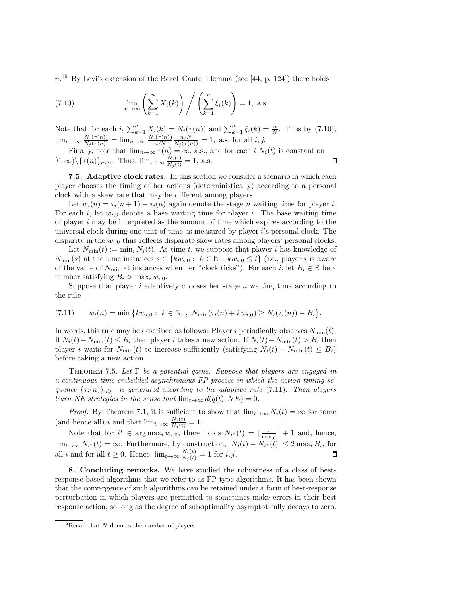$n<sup>19</sup>$  By Levi's extension of the Borel–Cantelli lemma (see [\[44,](#page-23-3) p. 124]) there holds

<span id="page-20-2"></span>(7.10) 
$$
\lim_{n \to \infty} \left( \sum_{k=1}^{n} X_i(k) \right) / \left( \sum_{k=1}^{n} \xi_i(k) \right) = 1, \text{ a.s.}
$$

Note that for each i,  $\sum_{k=1}^{n} X_i(k) = N_i(\tau(n))$  and  $\sum_{k=1}^{n} \xi_i(k) = \frac{n}{N}$ . Thus by [\(7.10\)](#page-20-2),  $\lim_{n\to\infty}\frac{N_i(\tau(n))}{N_j(\tau(n))}=\lim_{n\to\infty}\frac{N_i(\tau(n))}{n/N}$  $\frac{n/N}{N_j(\tau(n))} = 1$ , a.s. for all *i*, *j*.

Finally, note that  $\lim_{n\to\infty} \tau(n) = \infty$ , a.s., and for each i  $N_i(t)$  is constant on  $[0, \infty) \setminus {\{\tau(n)\}_n \ge 1}$ . Thus,  $\lim_{t \to \infty} \frac{N_i(t)}{N_j(t)} = 1$ , a.s.

<span id="page-20-1"></span>**7.5. Adaptive clock rates.** In this section we consider a scenario in which each player chooses the timing of her actions (deterministically) according to a personal clock with a skew rate that may be different among players.

Let  $w_i(n) = \tau_i(n+1) - \tau_i(n)$  again denote the stage n waiting time for player i. For each i, let  $w_{i,0}$  denote a base waiting time for player i. The base waiting time of player  $i$  may be interpreted as the amount of time which expires according to the universal clock during one unit of time as measured by player i's personal clock. The disparity in the  $w_{i,0}$  thus reflects disparate skew rates among players' personal clocks.

Let  $N_{\min}(t) := \min_i N_i(t)$ . At time t, we suppose that player i has knowledge of  $N_{\text{min}}(s)$  at the time instances  $s \in \{kw_{i,0}: k \in \mathbb{N}_+, kw_{i,0} \leq t\}$  (i.e., player i is aware of the value of  $N_{\text{min}}$  at instances when her "clock ticks"). For each i, let  $B_i \in \mathbb{R}$  be a number satisfying  $B_i > \max_i w_{i,0}$ .

Suppose that player i adaptively chooses her stage  $n$  waiting time according to the rule

<span id="page-20-3"></span>
$$
(7.11) \t w_i(n) = \min \big\{ k w_{i,0} : k \in \mathbb{N}_+, \ N_{\min}(\tau_i(n) + k w_{i,0}) \ge N_i(\tau_i(n)) - B_i \big\}.
$$

In words, this rule may be described as follows: Player *i* periodically observes  $N_{\text{min}}(t)$ . If  $N_i(t) - N_{\min}(t) \leq B_i$  then player i takes a new action. If  $N_i(t) - N_{\min}(t) > B_i$  then player i waits for  $N_{\text{min}}(t)$  to increase sufficiently (satisfying  $N_i(t) - N_{\text{min}}(t) \leq B_i$ ) before taking a new action.

Theorem 7.5. *Let* Γ *be a potential game. Suppose that players are engaged in a continuous-time embedded asynchronous FP process in which the action-timing sequence*  $\{\tau_i(n)\}_{n>1}$  *is generated according to the adaptive rule* [\(7.11\)](#page-20-3)*. Then players learn NE strategies in the sense that*  $\lim_{t\to\infty} d(q(t),NE)=0$ *.* 

*Proof.* By Theorem [7.1,](#page-16-0) it is sufficient to show that  $\lim_{t\to\infty} N_i(t) = \infty$  for some (and hence all) i and that  $\lim_{t\to\infty} \frac{N_i(t)}{N_j(t)} = 1$ .

Note that for  $i^* \in \arg \max_i w_{i,0}$ , there holds  $N_{i^*}(t) = \lfloor \frac{t}{w_{i^*,0}} \rfloor + 1$  and, hence,  $\lim_{t\to\infty} N_{i^*}(t) = \infty$ . Furthermore, by construction,  $|N_i(t) - N_{i^*}(t)| \leq 2 \max_i B_i$ , for all *i* and for all  $t \ge 0$ . Hence,  $\lim_{t \to \infty} \frac{N_i(t)}{N_j(t)} = 1$  for *i*, *j*.

<span id="page-20-0"></span>**8. Concluding remarks.** We have studied the robustness of a class of bestresponse-based algorithms that we refer to as FP-type algorithms. It has been shown that the convergence of such algorithms can be retained under a form of best-response perturbation in which players are permitted to sometimes make errors in their best response action, so long as the degree of suboptimality asymptotically decays to zero.

 $19$ Recall that N denotes the number of players.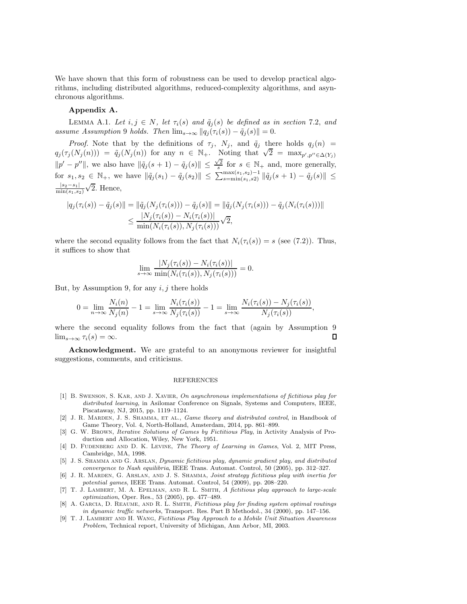We have shown that this form of robustness can be used to develop practical algorithms, including distributed algorithms, reduced-complexity algorithms, and asynchronous algorithms.

#### <span id="page-21-9"></span>**Appendix A.**

LEMMA A.1. Let  $i, j \in N$ , let  $\tau_i(s)$  and  $\tilde{q}_i(s)$  be defined as in section [7.2,](#page-15-0) and *assume Assumption* [9](#page-15-2) *holds.* Then  $\lim_{s\to\infty} ||q_i(\tau_i(s)) - \tilde{q}_i(s)|| = 0$ .

*Proof.* Note that by the definitions of  $\tau_i$ ,  $N_i$ , and  $\tilde{q}_i$  there holds  $q_i(n)$  = *Proof.* Note that by the definitions of  $\tau_j$ ,  $N_j$ , and  $q_j$  there holds  $q_j(n) = q_j(\tau_j(N_j(n))) = \tilde{q}_j(N_j(n))$  for any  $n \in \mathbb{N}_+$ . Noting that  $\sqrt{2} = \max_{p',p'' \in \Delta(Y_j)}$  $||p' - p''||$ , we also have  $||\tilde{q}_j(s + 1) - \tilde{q}_j(s)|| \leq \frac{\sqrt{2}}{s}$  for  $s \in \mathbb{N}_+$  and, more generally, for  $s_1, s_2 \in \mathbb{N}_+$ , we have  $\|\tilde{q}_j(s_1) - \tilde{q}_j(s_2)\| \le \sum_{s=\min(s_1, s_2)}^{\max(s_1, s_2)-1} \|\tilde{q}_j(s+1) - \tilde{q}_j(s)\| \le$  $|s_2-s_1|$  $min(s_1,s_2)$  $\sqrt{2}$ . Hence,

$$
|q_j(\tau_i(s)) - \tilde{q}_j(s)|| = ||\tilde{q}_j(N_j(\tau_i(s))) - \tilde{q}_j(s)|| = ||\tilde{q}_j(N_j(\tau_i(s))) - \tilde{q}_j(N_i(\tau_i(s)))||
$$
  

$$
\leq \frac{|N_j(\tau_i(s)) - N_i(\tau_i(s))|}{\min(N_i(\tau_i(s)), N_j(\tau_i(s)))} \sqrt{2},
$$

where the second equality follows from the fact that  $N_i(\tau_i(s)) = s$  (see [\(7.2\)](#page-16-5)). Thus, it suffices to show that

$$
\lim_{s \to \infty} \frac{|N_j(\tau_i(s)) - N_i(\tau_i(s))|}{\min(N_i(\tau_i(s)), N_j(\tau_i(s)))} = 0.
$$

But, by Assumption [9,](#page-15-2) for any  $i, j$  there holds

$$
0 = \lim_{n \to \infty} \frac{N_i(n)}{N_j(n)} - 1 = \lim_{s \to \infty} \frac{N_i(\tau_i(s))}{N_j(\tau_i(s))} - 1 = \lim_{s \to \infty} \frac{N_i(\tau_i(s)) - N_j(\tau_i(s))}{N_j(\tau_i(s))},
$$

where the second equality follows from the fact that (again by Assumption [9](#page-15-2)  $\lim_{s\to\infty}\tau_i(s)=\infty.$  $\Box$ 

**Acknowledgment.** We are grateful to an anonymous reviewer for insightful suggestions, comments, and criticisms.

#### REFERENCES

- <span id="page-21-8"></span>[1] B. Swenson, S. Kar, and J. Xavier, On asynchronous implementations of fictitious play for distributed learning, in Asilomar Conference on Signals, Systems and Computers, IEEE, Piscataway, NJ, 2015, pp. 1119–1124.
- <span id="page-21-0"></span>[2] J. R. Marden, J. S. Shamma, et al., Game theory and distributed control, in Handbook of Game Theory, Vol. 4, North-Holland, Amsterdam, 2014, pp. 861–899.
- <span id="page-21-1"></span>[3] G. W. Brown, Iterative Solutions of Games by Fictitious Play, in Activity Analysis of Production and Allocation, Wiley, New York, 1951.
- <span id="page-21-2"></span>[4] D. FUDENBERG AND D. K. LEVINE, The Theory of Learning in Games, Vol. 2, MIT Press, Cambridge, MA, 1998.
- <span id="page-21-3"></span>[5] J. S. SHAMMA AND G. ARSLAN, Dynamic fictitious play, dynamic gradient play, and distributed convergence to Nash equilibria, IEEE Trans. Automat. Control, 50 (2005), pp. 312–327.
- <span id="page-21-4"></span>[6] J. R. MARDEN, G. ARSLAN, AND J. S. SHAMMA, Joint strategy fictitious play with inertia for potential games, IEEE Trans. Automat. Control, 54 (2009), pp. 208–220.
- <span id="page-21-5"></span>[7] T. J. Lambert, M. A. Epelman, and R. L. Smith, A fictitious play approach to large-scale optimization, Oper. Res., 53 (2005), pp. 477–489.
- <span id="page-21-6"></span>[8] A. Garcia, D. Reaume, and R. L. Smith, Fictitious play for finding system optimal routings in dynamic traffic networks, Transport. Res. Part B Methodol., 34 (2000), pp. 147–156.
- <span id="page-21-7"></span>[9] T. J. LAMBERT AND H. WANG, Fictitious Play Approach to a Mobile Unit Situation Awareness Problem, Technical report, University of Michigan, Ann Arbor, MI, 2003.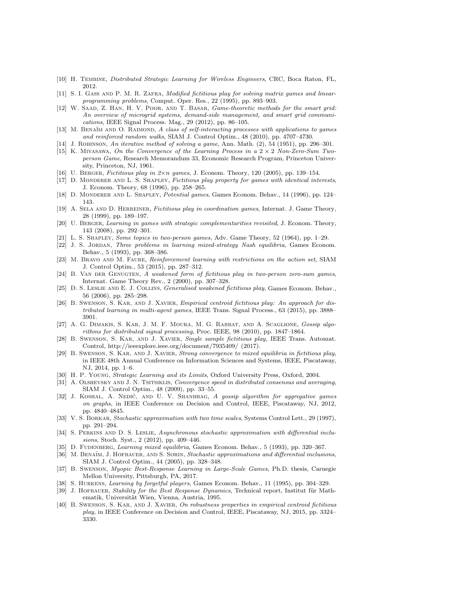- <span id="page-22-1"></span><span id="page-22-0"></span>[10] H. Tembine, Distributed Strategic Learning for Wireless Engineers, CRC, Boca Raton, FL, 2012.
- [11] S. I. Gass and P. M. R. Zafra, Modified fictitious play for solving matrix games and linearprogramming problems, Comput. Oper. Res., 22 (1995), pp. 893–903.
- <span id="page-22-2"></span>[12] W. SAAD, Z. HAN, H. V. POOR, AND T. BASAR, Game-theoretic methods for the smart grid: An overview of microgrid systems, demand-side management, and smart grid communications, IEEE Signal Process. Mag., 29 (2012), pp. 86–105.
- <span id="page-22-3"></span>[13] M. BENAÏM AND O. RAIMOND, A class of self-interacting processes with applications to games and reinforced random walks, SIAM J. Control Optim., 48 (2010), pp. 4707–4730.
- <span id="page-22-5"></span><span id="page-22-4"></span>[14] J. ROBINSON, An iterative method of solving a game, Ann. Math. (2), 54 (1951), pp. 296–301.
- [15] K. MIYASAWA, On the Convergence of the Learning Process in a  $2 \times 2$  Non-Zero-Sum Twoperson Game, Research Memorandum 33, Economic Research Program, Princeton University, Princeton, NJ, 1961.
- <span id="page-22-7"></span><span id="page-22-6"></span>[16] U. Berger, Fictitious play in 2×n games, J. Econom. Theory, 120 (2005), pp. 139–154.
- [17] D. Monderer and L. S. Shapley, Fictitious play property for games with identical interests, J. Econom. Theory, 68 (1996), pp. 258–265.
- <span id="page-22-9"></span><span id="page-22-8"></span>[18] D. MONDERER AND L. SHAPLEY, Potential games, Games Econom. Behav., 14 (1996), pp. 124– 143.
- [19] A. SELA AND D. HERREINER, Fictitious play in coordination games, Internat. J. Game Theory, 28 (1999), pp. 189–197.
- <span id="page-22-10"></span>[20] U. BERGER, Learning in games with strategic complementarities revisited, J. Econom. Theory, 143 (2008), pp. 292–301.
- <span id="page-22-12"></span><span id="page-22-11"></span>[21] L. S. Shapley, Some topics in two-person games, Adv. Game Theory, 52 (1964), pp. 1–29.
- [22] J. S. JORDAN, Three problems in learning mixed-strategy Nash equilibria, Games Econom. Behav., 5 (1993), pp. 368–386.
- <span id="page-22-13"></span>[23] M. BRAVO AND M. FAURE, Reinforcement learning with restrictions on the action set, SIAM J. Control Optim., 53 (2015), pp. 287–312.
- <span id="page-22-14"></span>[24] B. VAN DER GENUGTEN, A weakened form of fictitious play in two-person zero-sum games, Internat. Game Theory Rev., 2 (2000), pp. 307–328.
- <span id="page-22-15"></span>[25] D. S. Leslie and E. J. Collins, Generalised weakened fictitious play, Games Econom. Behav., 56 (2006), pp. 285–298.
- <span id="page-22-16"></span>[26] B. Swenson, S. Kar, and J. Xavier, Empirical centroid fictitious play: An approach for distributed learning in multi-agent games, IEEE Trans. Signal Process., 63 (2015), pp. 3888– 3901.
- <span id="page-22-25"></span>[27] A. G. Dimakis, S. Kar, J. M. F. Moura, M. G. Rabbat, and A. Scaglione, Gossip algorithms for distributed signal processing, Proc. IEEE, 98 (2010), pp. 1847–1864.
- <span id="page-22-17"></span>[28] B. Swenson, S. Kar, and J. Xavier, Single sample fictitious play, IEEE Trans. Automat. Control,<http://ieeexplore.ieee.org/document/7935409/> (2017).
- <span id="page-22-18"></span>[29] B. Swenson, S. Kar, and J. Xavier, Strong convergence to mixed equilibria in fictitious play, in IEEE 48th Annual Conference on Information Sciences and Systems, IEEE, Piscataway, NJ, 2014, pp. 1–6.
- <span id="page-22-20"></span><span id="page-22-19"></span>[30] H. P. Young, Strategic Learning and its Limits, Oxford University Press, Oxford, 2004.
- [31] A. OLSHEVSKY AND J. N. TSITSIKLIS, Convergence speed in distributed consensus and averaging, SIAM J. Control Optim., 48 (2009), pp. 33–55.
- <span id="page-22-21"></span>[32] J. KOSHAL, A. NEDIĆ, AND U. V. SHANBHAG, A gossip algorithm for aggregative games on graphs, in IEEE Conference on Decision and Control, IEEE, Piscataway, NJ, 2012, pp. 4840–4845.
- <span id="page-22-22"></span>[33] V. S. Borkar, Stochastic approximation with two time scales, Systems Control Lett., 29 (1997), pp. 291–294.
- <span id="page-22-23"></span>[34] S. PERKINS AND D. S. LESLIE, Asynchronous stochastic approximation with differential inclusions, Stoch. Syst., 2 (2012), pp. 409–446.
- <span id="page-22-26"></span><span id="page-22-24"></span>[35] D. Fudenberg, Learning mixed equilibria, Games Econom. Behav., 5 (1993), pp. 320–367.
- [36] M. BENAÏM, J. HOFBAUER, AND S. SORIN, Stochastic approximations and differential inclusions, SIAM J. Control Optim., 44 (2005), pp. 328–348.
- <span id="page-22-27"></span>[37] B. Swenson, Myopic Best-Response Learning in Large-Scale Games, Ph.D. thesis, Carnegie Mellon University, Pittsburgh, PA, 2017.
- <span id="page-22-29"></span><span id="page-22-28"></span>[38] S. HURKENS, *Learning by forgetful players*, Games Econom. Behav., 11 (1995), pp. 304–329.
- [39] J. HOFBAUER, Stability for the Best Response Dynamics, Technical report, Institut für Mathematik, Universität Wien, Vienna, Austria, 1995.
- <span id="page-22-30"></span>[40] B. Swenson, S. Kar, and J. Xavier, On robustness properties in empirical centroid fictitious play, in IEEE Conference on Decision and Control, IEEE, Piscataway, NJ, 2015, pp. 3324– 3330.